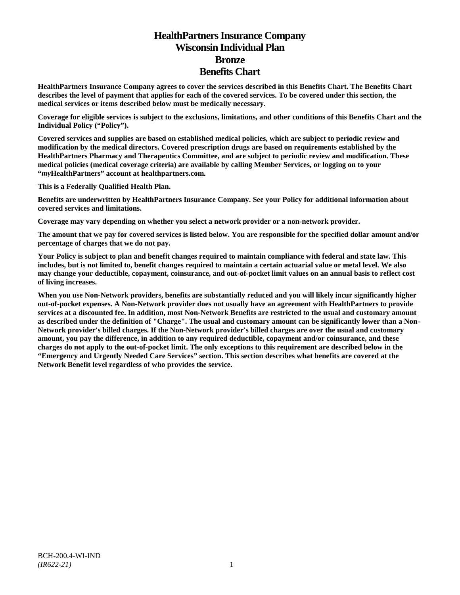# **HealthPartners Insurance Company Wisconsin Individual Plan Bronze Benefits Chart**

**HealthPartners Insurance Company agrees to cover the services described in this Benefits Chart. The Benefits Chart describes the level of payment that applies for each of the covered services. To be covered under this section, the medical services or items described below must be medically necessary.**

**Coverage for eligible services is subject to the exclusions, limitations, and other conditions of this Benefits Chart and the Individual Policy ("Policy").**

**Covered services and supplies are based on established medical policies, which are subject to periodic review and modification by the medical directors. Covered prescription drugs are based on requirements established by the HealthPartners Pharmacy and Therapeutics Committee, and are subject to periodic review and modification. These medical policies (medical coverage criteria) are available by calling Member Services, or logging on to your "***my***HealthPartners" account at [healthpartners.com.](http://www.healthpartners.com/)**

**This is a Federally Qualified Health Plan.**

**Benefits are underwritten by HealthPartners Insurance Company. See your Policy for additional information about covered services and limitations.**

**Coverage may vary depending on whether you select a network provider or a non-network provider.**

**The amount that we pay for covered services is listed below. You are responsible for the specified dollar amount and/or percentage of charges that we do not pay.**

**Your Policy is subject to plan and benefit changes required to maintain compliance with federal and state law. This includes, but is not limited to, benefit changes required to maintain a certain actuarial value or metal level. We also may change your deductible, copayment, coinsurance, and out-of-pocket limit values on an annual basis to reflect cost of living increases.**

**When you use Non-Network providers, benefits are substantially reduced and you will likely incur significantly higher out-of-pocket expenses. A Non-Network provider does not usually have an agreement with HealthPartners to provide services at a discounted fee. In addition, most Non-Network Benefits are restricted to the usual and customary amount as described under the definition of "Charge". The usual and customary amount can be significantly lower than a Non-Network provider's billed charges. If the Non-Network provider's billed charges are over the usual and customary amount, you pay the difference, in addition to any required deductible, copayment and/or coinsurance, and these charges do not apply to the out-of-pocket limit. The only exceptions to this requirement are described below in the "Emergency and Urgently Needed Care Services" section. This section describes what benefits are covered at the Network Benefit level regardless of who provides the service.**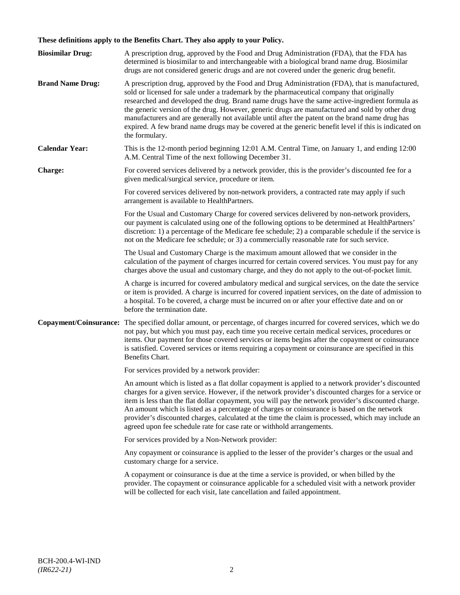## **These definitions apply to the Benefits Chart. They also apply to your Policy.**

| <b>Biosimilar Drug:</b> | A prescription drug, approved by the Food and Drug Administration (FDA), that the FDA has<br>determined is biosimilar to and interchangeable with a biological brand name drug. Biosimilar<br>drugs are not considered generic drugs and are not covered under the generic drug benefit.                                                                                                                                                                                                                                                                                                                                     |
|-------------------------|------------------------------------------------------------------------------------------------------------------------------------------------------------------------------------------------------------------------------------------------------------------------------------------------------------------------------------------------------------------------------------------------------------------------------------------------------------------------------------------------------------------------------------------------------------------------------------------------------------------------------|
| <b>Brand Name Drug:</b> | A prescription drug, approved by the Food and Drug Administration (FDA), that is manufactured,<br>sold or licensed for sale under a trademark by the pharmaceutical company that originally<br>researched and developed the drug. Brand name drugs have the same active-ingredient formula as<br>the generic version of the drug. However, generic drugs are manufactured and sold by other drug<br>manufacturers and are generally not available until after the patent on the brand name drug has<br>expired. A few brand name drugs may be covered at the generic benefit level if this is indicated on<br>the formulary. |
| <b>Calendar Year:</b>   | This is the 12-month period beginning 12:01 A.M. Central Time, on January 1, and ending 12:00<br>A.M. Central Time of the next following December 31.                                                                                                                                                                                                                                                                                                                                                                                                                                                                        |
| Charge:                 | For covered services delivered by a network provider, this is the provider's discounted fee for a<br>given medical/surgical service, procedure or item.                                                                                                                                                                                                                                                                                                                                                                                                                                                                      |
|                         | For covered services delivered by non-network providers, a contracted rate may apply if such<br>arrangement is available to HealthPartners.                                                                                                                                                                                                                                                                                                                                                                                                                                                                                  |
|                         | For the Usual and Customary Charge for covered services delivered by non-network providers,<br>our payment is calculated using one of the following options to be determined at HealthPartners'<br>discretion: 1) a percentage of the Medicare fee schedule; 2) a comparable schedule if the service is<br>not on the Medicare fee schedule; or 3) a commercially reasonable rate for such service.                                                                                                                                                                                                                          |
|                         | The Usual and Customary Charge is the maximum amount allowed that we consider in the<br>calculation of the payment of charges incurred for certain covered services. You must pay for any<br>charges above the usual and customary charge, and they do not apply to the out-of-pocket limit.                                                                                                                                                                                                                                                                                                                                 |
|                         | A charge is incurred for covered ambulatory medical and surgical services, on the date the service<br>or item is provided. A charge is incurred for covered inpatient services, on the date of admission to<br>a hospital. To be covered, a charge must be incurred on or after your effective date and on or<br>before the termination date.                                                                                                                                                                                                                                                                                |
| Copayment/Coinsurance:  | The specified dollar amount, or percentage, of charges incurred for covered services, which we do<br>not pay, but which you must pay, each time you receive certain medical services, procedures or<br>items. Our payment for those covered services or items begins after the copayment or coinsurance<br>is satisfied. Covered services or items requiring a copayment or coinsurance are specified in this<br>Benefits Chart.                                                                                                                                                                                             |
|                         | For services provided by a network provider:                                                                                                                                                                                                                                                                                                                                                                                                                                                                                                                                                                                 |
|                         | An amount which is listed as a flat dollar copayment is applied to a network provider's discounted<br>charges for a given service. However, if the network provider's discounted charges for a service or<br>item is less than the flat dollar copayment, you will pay the network provider's discounted charge.<br>An amount which is listed as a percentage of charges or coinsurance is based on the network<br>provider's discounted charges, calculated at the time the claim is processed, which may include an<br>agreed upon fee schedule rate for case rate or withhold arrangements.                               |
|                         | For services provided by a Non-Network provider:                                                                                                                                                                                                                                                                                                                                                                                                                                                                                                                                                                             |
|                         | Any copayment or coinsurance is applied to the lesser of the provider's charges or the usual and<br>customary charge for a service.                                                                                                                                                                                                                                                                                                                                                                                                                                                                                          |
|                         | A copayment or coinsurance is due at the time a service is provided, or when billed by the<br>provider. The copayment or coinsurance applicable for a scheduled visit with a network provider<br>will be collected for each visit, late cancellation and failed appointment.                                                                                                                                                                                                                                                                                                                                                 |
|                         |                                                                                                                                                                                                                                                                                                                                                                                                                                                                                                                                                                                                                              |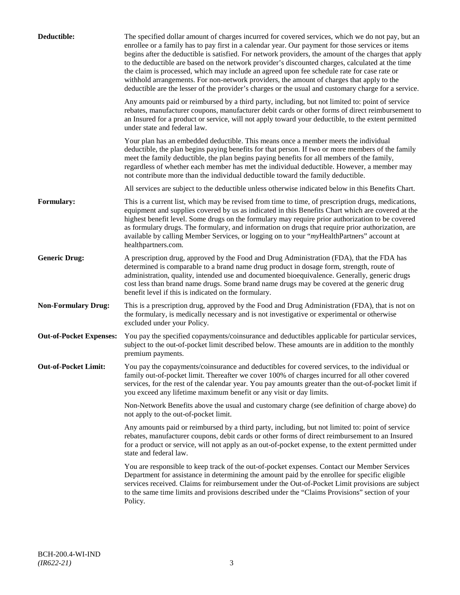| Deductible:                    | The specified dollar amount of charges incurred for covered services, which we do not pay, but an<br>enrollee or a family has to pay first in a calendar year. Our payment for those services or items<br>begins after the deductible is satisfied. For network providers, the amount of the charges that apply<br>to the deductible are based on the network provider's discounted charges, calculated at the time<br>the claim is processed, which may include an agreed upon fee schedule rate for case rate or<br>withhold arrangements. For non-network providers, the amount of charges that apply to the<br>deductible are the lesser of the provider's charges or the usual and customary charge for a service. |
|--------------------------------|-------------------------------------------------------------------------------------------------------------------------------------------------------------------------------------------------------------------------------------------------------------------------------------------------------------------------------------------------------------------------------------------------------------------------------------------------------------------------------------------------------------------------------------------------------------------------------------------------------------------------------------------------------------------------------------------------------------------------|
|                                | Any amounts paid or reimbursed by a third party, including, but not limited to: point of service<br>rebates, manufacturer coupons, manufacturer debit cards or other forms of direct reimbursement to<br>an Insured for a product or service, will not apply toward your deductible, to the extent permitted<br>under state and federal law.                                                                                                                                                                                                                                                                                                                                                                            |
|                                | Your plan has an embedded deductible. This means once a member meets the individual<br>deductible, the plan begins paying benefits for that person. If two or more members of the family<br>meet the family deductible, the plan begins paying benefits for all members of the family,<br>regardless of whether each member has met the individual deductible. However, a member may<br>not contribute more than the individual deductible toward the family deductible.                                                                                                                                                                                                                                                |
|                                | All services are subject to the deductible unless otherwise indicated below in this Benefits Chart.                                                                                                                                                                                                                                                                                                                                                                                                                                                                                                                                                                                                                     |
| Formulary:                     | This is a current list, which may be revised from time to time, of prescription drugs, medications,<br>equipment and supplies covered by us as indicated in this Benefits Chart which are covered at the<br>highest benefit level. Some drugs on the formulary may require prior authorization to be covered<br>as formulary drugs. The formulary, and information on drugs that require prior authorization, are<br>available by calling Member Services, or logging on to your "myHealthPartners" account at<br>healthpartners.com.                                                                                                                                                                                   |
| <b>Generic Drug:</b>           | A prescription drug, approved by the Food and Drug Administration (FDA), that the FDA has<br>determined is comparable to a brand name drug product in dosage form, strength, route of<br>administration, quality, intended use and documented bioequivalence. Generally, generic drugs<br>cost less than brand name drugs. Some brand name drugs may be covered at the generic drug<br>benefit level if this is indicated on the formulary.                                                                                                                                                                                                                                                                             |
| <b>Non-Formulary Drug:</b>     | This is a prescription drug, approved by the Food and Drug Administration (FDA), that is not on<br>the formulary, is medically necessary and is not investigative or experimental or otherwise<br>excluded under your Policy.                                                                                                                                                                                                                                                                                                                                                                                                                                                                                           |
| <b>Out-of-Pocket Expenses:</b> | You pay the specified copayments/coinsurance and deductibles applicable for particular services,<br>subject to the out-of-pocket limit described below. These amounts are in addition to the monthly<br>premium payments.                                                                                                                                                                                                                                                                                                                                                                                                                                                                                               |
| <b>Out-of-Pocket Limit:</b>    | You pay the copayments/coinsurance and deductibles for covered services, to the individual or<br>family out-of-pocket limit. Thereafter we cover 100% of charges incurred for all other covered<br>services, for the rest of the calendar year. You pay amounts greater than the out-of-pocket limit if<br>you exceed any lifetime maximum benefit or any visit or day limits.                                                                                                                                                                                                                                                                                                                                          |
|                                | Non-Network Benefits above the usual and customary charge (see definition of charge above) do<br>not apply to the out-of-pocket limit.                                                                                                                                                                                                                                                                                                                                                                                                                                                                                                                                                                                  |
|                                | Any amounts paid or reimbursed by a third party, including, but not limited to: point of service<br>rebates, manufacturer coupons, debit cards or other forms of direct reimbursement to an Insured<br>for a product or service, will not apply as an out-of-pocket expense, to the extent permitted under<br>state and federal law.                                                                                                                                                                                                                                                                                                                                                                                    |
|                                | You are responsible to keep track of the out-of-pocket expenses. Contact our Member Services<br>Department for assistance in determining the amount paid by the enrollee for specific eligible<br>services received. Claims for reimbursement under the Out-of-Pocket Limit provisions are subject<br>to the same time limits and provisions described under the "Claims Provisions" section of your<br>Policy.                                                                                                                                                                                                                                                                                                         |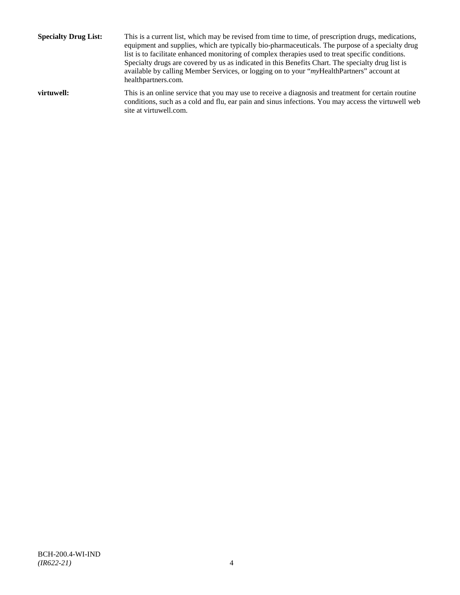**Specialty Drug List:** This is a current list, which may be revised from time to time, of prescription drugs, medications, equipment and supplies, which are typically bio-pharmaceuticals. The purpose of a specialty drug list is to facilitate enhanced monitoring of complex therapies used to treat specific conditions. Specialty drugs are covered by us as indicated in this Benefits Chart. The specialty drug list is available by calling Member Services, or logging on to your "*my*HealthPartners" account at [healthpartners.com.](http://www.healthpartners.com/) **virtuwell:** This is an online service that you may use to receive a diagnosis and treatment for certain routine conditions, such as a cold and flu, ear pain and sinus infections. You may access the virtuwell web

site a[t virtuwell.com.](http://www.virtuwell.com/)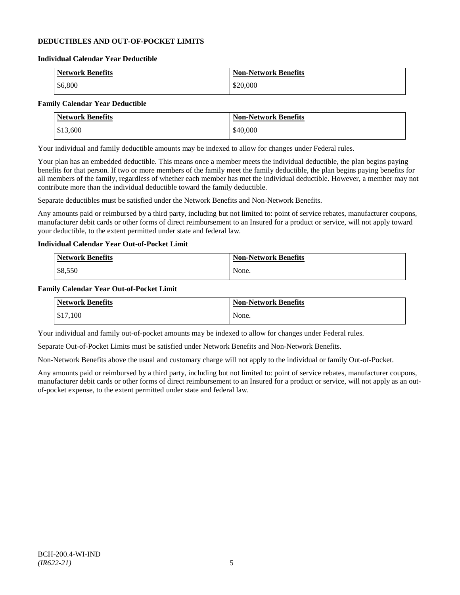### **DEDUCTIBLES AND OUT-OF-POCKET LIMITS**

#### **Individual Calendar Year Deductible**

| <b>Network Benefits</b> | <b>Non-Network Benefits</b> |
|-------------------------|-----------------------------|
| \$6,800                 | \$20,000                    |

## **Family Calendar Year Deductible**

| <b>Network Benefits</b> | <b>Non-Network Benefits</b> |
|-------------------------|-----------------------------|
| \$13,600                | \$40,000                    |

Your individual and family deductible amounts may be indexed to allow for changes under Federal rules.

Your plan has an embedded deductible. This means once a member meets the individual deductible, the plan begins paying benefits for that person. If two or more members of the family meet the family deductible, the plan begins paying benefits for all members of the family, regardless of whether each member has met the individual deductible. However, a member may not contribute more than the individual deductible toward the family deductible.

Separate deductibles must be satisfied under the Network Benefits and Non-Network Benefits.

Any amounts paid or reimbursed by a third party, including but not limited to: point of service rebates, manufacturer coupons, manufacturer debit cards or other forms of direct reimbursement to an Insured for a product or service, will not apply toward your deductible, to the extent permitted under state and federal law.

### **Individual Calendar Year Out-of-Pocket Limit**

| Network Benefits | <b>Non-Network Benefits</b> |
|------------------|-----------------------------|
| \$8,550          | None.                       |

#### **Family Calendar Year Out-of-Pocket Limit**

| <b>Network Benefits</b> | <b>Non-Network Benefits</b> |
|-------------------------|-----------------------------|
| \$17,100                | None.                       |

Your individual and family out-of-pocket amounts may be indexed to allow for changes under Federal rules.

Separate Out-of-Pocket Limits must be satisfied under Network Benefits and Non-Network Benefits.

Non-Network Benefits above the usual and customary charge will not apply to the individual or family Out-of-Pocket.

Any amounts paid or reimbursed by a third party, including but not limited to: point of service rebates, manufacturer coupons, manufacturer debit cards or other forms of direct reimbursement to an Insured for a product or service, will not apply as an outof-pocket expense, to the extent permitted under state and federal law.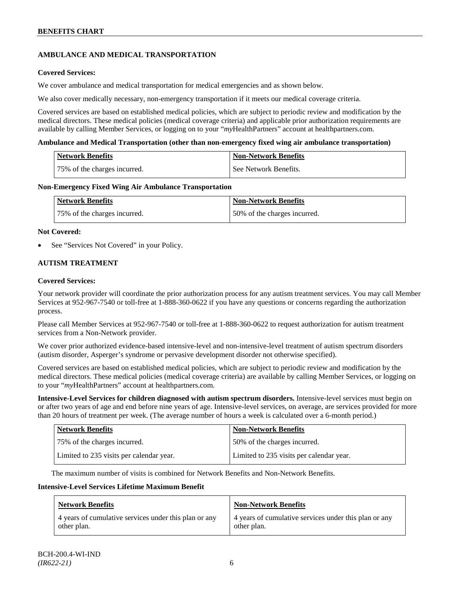## **AMBULANCE AND MEDICAL TRANSPORTATION**

### **Covered Services:**

We cover ambulance and medical transportation for medical emergencies and as shown below.

We also cover medically necessary, non-emergency transportation if it meets our medical coverage criteria.

Covered services are based on established medical policies, which are subject to periodic review and modification by the medical directors. These medical policies (medical coverage criteria) and applicable prior authorization requirements are available by calling Member Services, or logging on to your "*my*HealthPartners" account a[t healthpartners.com.](http://www.healthpartners.com/)

#### **Ambulance and Medical Transportation (other than non-emergency fixed wing air ambulance transportation)**

| <b>Network Benefits</b>      | <b>Non-Network Benefits</b> |
|------------------------------|-----------------------------|
| 75% of the charges incurred. | See Network Benefits.       |

#### **Non-Emergency Fixed Wing Air Ambulance Transportation**

| <b>Network Benefits</b>      | <b>Non-Network Benefits</b>  |
|------------------------------|------------------------------|
| 75% of the charges incurred. | 50% of the charges incurred. |

#### **Not Covered:**

See "Services Not Covered" in your Policy.

### **AUTISM TREATMENT**

#### **Covered Services:**

Your network provider will coordinate the prior authorization process for any autism treatment services. You may call Member Services at 952-967-7540 or toll-free at 1-888-360-0622 if you have any questions or concerns regarding the authorization process.

Please call Member Services at 952-967-7540 or toll-free at 1-888-360-0622 to request authorization for autism treatment services from a Non-Network provider.

We cover prior authorized evidence-based intensive-level and non-intensive-level treatment of autism spectrum disorders (autism disorder, Asperger's syndrome or pervasive development disorder not otherwise specified).

Covered services are based on established medical policies, which are subject to periodic review and modification by the medical directors. These medical policies (medical coverage criteria) are available by calling Member Services, or logging on to your "*my*HealthPartners" account at [healthpartners.com.](http://www.healthpartners.com/)

**Intensive-Level Services for children diagnosed with autism spectrum disorders.** Intensive-level services must begin on or after two years of age and end before nine years of age. Intensive-level services, on average, are services provided for more than 20 hours of treatment per week. (The average number of hours a week is calculated over a 6-month period.)

| <b>Network Benefits</b>                  | <b>Non-Network Benefits</b>              |
|------------------------------------------|------------------------------------------|
| 75% of the charges incurred.             | 50% of the charges incurred.             |
| Limited to 235 visits per calendar year. | Limited to 235 visits per calendar year. |

The maximum number of visits is combined for Network Benefits and Non-Network Benefits.

#### **Intensive-Level Services Lifetime Maximum Benefit**

| <b>Network Benefits</b>                               | <b>Non-Network Benefits</b>                           |
|-------------------------------------------------------|-------------------------------------------------------|
| 4 years of cumulative services under this plan or any | 4 years of cumulative services under this plan or any |
| other plan.                                           | other plan.                                           |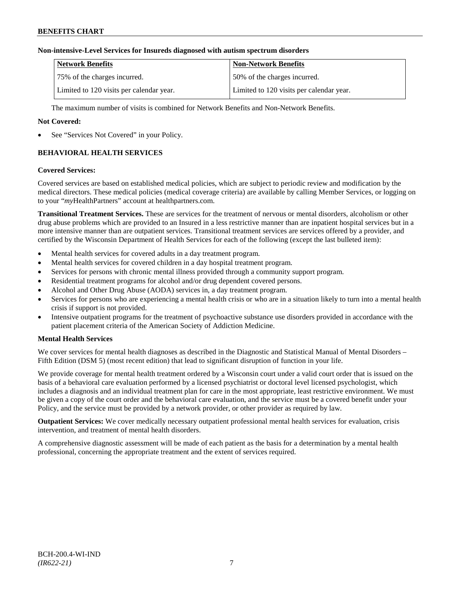### **Non-intensive-Level Services for Insureds diagnosed with autism spectrum disorders**

| <b>Network Benefits</b>                  | <b>Non-Network Benefits</b>              |
|------------------------------------------|------------------------------------------|
| 75% of the charges incurred.             | 150% of the charges incurred.            |
| Limited to 120 visits per calendar year. | Limited to 120 visits per calendar year. |

The maximum number of visits is combined for Network Benefits and Non-Network Benefits.

### **Not Covered:**

See "Services Not Covered" in your Policy.

## **BEHAVIORAL HEALTH SERVICES**

#### **Covered Services:**

Covered services are based on established medical policies, which are subject to periodic review and modification by the medical directors. These medical policies (medical coverage criteria) are available by calling Member Services, or logging on to your "*my*HealthPartners" account at [healthpartners.com.](http://www.healthpartners.com/)

**Transitional Treatment Services.** These are services for the treatment of nervous or mental disorders, alcoholism or other drug abuse problems which are provided to an Insured in a less restrictive manner than are inpatient hospital services but in a more intensive manner than are outpatient services. Transitional treatment services are services offered by a provider, and certified by the Wisconsin Department of Health Services for each of the following (except the last bulleted item):

- Mental health services for covered adults in a day treatment program.
- Mental health services for covered children in a day hospital treatment program.
- Services for persons with chronic mental illness provided through a community support program.
- Residential treatment programs for alcohol and/or drug dependent covered persons.
- Alcohol and Other Drug Abuse (AODA) services in, a day treatment program.
- Services for persons who are experiencing a mental health crisis or who are in a situation likely to turn into a mental health crisis if support is not provided.
- Intensive outpatient programs for the treatment of psychoactive substance use disorders provided in accordance with the patient placement criteria of the American Society of Addiction Medicine.

### **Mental Health Services**

We cover services for mental health diagnoses as described in the Diagnostic and Statistical Manual of Mental Disorders – Fifth Edition (DSM 5) (most recent edition) that lead to significant disruption of function in your life.

We provide coverage for mental health treatment ordered by a Wisconsin court under a valid court order that is issued on the basis of a behavioral care evaluation performed by a licensed psychiatrist or doctoral level licensed psychologist, which includes a diagnosis and an individual treatment plan for care in the most appropriate, least restrictive environment. We must be given a copy of the court order and the behavioral care evaluation, and the service must be a covered benefit under your Policy, and the service must be provided by a network provider, or other provider as required by law.

**Outpatient Services:** We cover medically necessary outpatient professional mental health services for evaluation, crisis intervention, and treatment of mental health disorders.

A comprehensive diagnostic assessment will be made of each patient as the basis for a determination by a mental health professional, concerning the appropriate treatment and the extent of services required.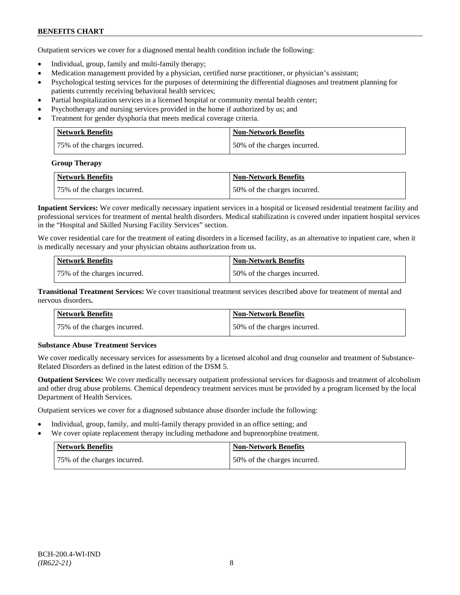## **BENEFITS CHART**

Outpatient services we cover for a diagnosed mental health condition include the following:

- Individual, group, family and multi-family therapy;
- Medication management provided by a physician, certified nurse practitioner, or physician's assistant;
- Psychological testing services for the purposes of determining the differential diagnoses and treatment planning for patients currently receiving behavioral health services;
- Partial hospitalization services in a licensed hospital or community mental health center;
- Psychotherapy and nursing services provided in the home if authorized by us; and
- Treatment for gender dysphoria that meets medical coverage criteria.

| <b>Network Benefits</b>      | <b>Non-Network Benefits</b>  |
|------------------------------|------------------------------|
| 75% of the charges incurred. | 50% of the charges incurred. |

#### **Group Therapy**

| Network Benefits             | <b>Non-Network Benefits</b>  |
|------------------------------|------------------------------|
| 75% of the charges incurred. | 50% of the charges incurred. |

**Inpatient Services:** We cover medically necessary inpatient services in a hospital or licensed residential treatment facility and professional services for treatment of mental health disorders. Medical stabilization is covered under inpatient hospital services in the "Hospital and Skilled Nursing Facility Services" section.

We cover residential care for the treatment of eating disorders in a licensed facility, as an alternative to inpatient care, when it is medically necessary and your physician obtains authorization from us.

| <b>Network Benefits</b>      | <b>Non-Network Benefits</b>  |
|------------------------------|------------------------------|
| 75% of the charges incurred. | 50% of the charges incurred. |

**Transitional Treatment Services:** We cover transitional treatment services described above for treatment of mental and nervous disorders**.**

| <b>Network Benefits</b>      | <b>Non-Network Benefits</b>   |
|------------------------------|-------------------------------|
| 75% of the charges incurred. | 150% of the charges incurred. |

### **Substance Abuse Treatment Services**

We cover medically necessary services for assessments by a licensed alcohol and drug counselor and treatment of Substance-Related Disorders as defined in the latest edition of the DSM 5.

**Outpatient Services:** We cover medically necessary outpatient professional services for diagnosis and treatment of alcoholism and other drug abuse problems. Chemical dependency treatment services must be provided by a program licensed by the local Department of Health Services.

Outpatient services we cover for a diagnosed substance abuse disorder include the following:

- Individual, group, family, and multi-family therapy provided in an office setting; and
- We cover opiate replacement therapy including methadone and buprenorphine treatment.

| Network Benefits             | <b>Non-Network Benefits</b>  |
|------------------------------|------------------------------|
| 75% of the charges incurred. | 50% of the charges incurred. |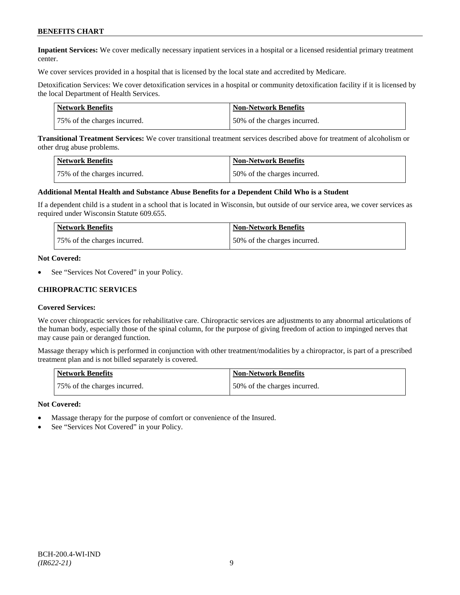## **BENEFITS CHART**

**Inpatient Services:** We cover medically necessary inpatient services in a hospital or a licensed residential primary treatment center.

We cover services provided in a hospital that is licensed by the local state and accredited by Medicare.

Detoxification Services: We cover detoxification services in a hospital or community detoxification facility if it is licensed by the local Department of Health Services.

| Network Benefits             | <b>Non-Network Benefits</b>  |
|------------------------------|------------------------------|
| 75% of the charges incurred. | 50% of the charges incurred. |

**Transitional Treatment Services:** We cover transitional treatment services described above for treatment of alcoholism or other drug abuse problems.

| Network Benefits             | <b>Non-Network Benefits</b>  |
|------------------------------|------------------------------|
| 75% of the charges incurred. | 50% of the charges incurred. |

#### **Additional Mental Health and Substance Abuse Benefits for a Dependent Child Who is a Student**

If a dependent child is a student in a school that is located in Wisconsin, but outside of our service area, we cover services as required under Wisconsin Statute 609.655.

| <b>Network Benefits</b>      | <b>Non-Network Benefits</b>  |
|------------------------------|------------------------------|
| 75% of the charges incurred. | 50% of the charges incurred. |

#### **Not Covered:**

See "Services Not Covered" in your Policy.

#### **CHIROPRACTIC SERVICES**

#### **Covered Services:**

We cover chiropractic services for rehabilitative care. Chiropractic services are adjustments to any abnormal articulations of the human body, especially those of the spinal column, for the purpose of giving freedom of action to impinged nerves that may cause pain or deranged function.

Massage therapy which is performed in conjunction with other treatment/modalities by a chiropractor, is part of a prescribed treatment plan and is not billed separately is covered.

| <b>Network Benefits</b>      | Non-Network Benefits         |
|------------------------------|------------------------------|
| 75% of the charges incurred. | 50% of the charges incurred. |

- Massage therapy for the purpose of comfort or convenience of the Insured.
- See "Services Not Covered" in your Policy.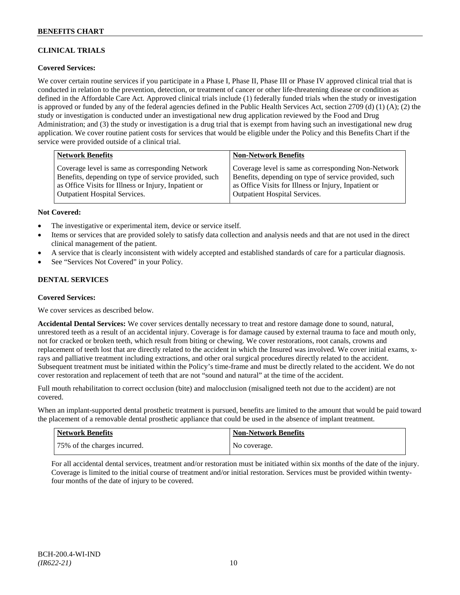## **CLINICAL TRIALS**

### **Covered Services:**

We cover certain routine services if you participate in a Phase I, Phase II, Phase III or Phase IV approved clinical trial that is conducted in relation to the prevention, detection, or treatment of cancer or other life-threatening disease or condition as defined in the Affordable Care Act. Approved clinical trials include (1) federally funded trials when the study or investigation is approved or funded by any of the federal agencies defined in the Public Health Services Act, section 2709 (d) (1) (A); (2) the study or investigation is conducted under an investigational new drug application reviewed by the Food and Drug Administration; and (3) the study or investigation is a drug trial that is exempt from having such an investigational new drug application. We cover routine patient costs for services that would be eligible under the Policy and this Benefits Chart if the service were provided outside of a clinical trial.

| <b>Network Benefits</b>                               | <b>Non-Network Benefits</b>                           |
|-------------------------------------------------------|-------------------------------------------------------|
| Coverage level is same as corresponding Network       | Coverage level is same as corresponding Non-Network   |
| Benefits, depending on type of service provided, such | Benefits, depending on type of service provided, such |
| as Office Visits for Illness or Injury, Inpatient or  | as Office Visits for Illness or Injury, Inpatient or  |
| Outpatient Hospital Services.                         | <b>Outpatient Hospital Services.</b>                  |

#### **Not Covered:**

- The investigative or experimental item, device or service itself.
- Items or services that are provided solely to satisfy data collection and analysis needs and that are not used in the direct clinical management of the patient.
- A service that is clearly inconsistent with widely accepted and established standards of care for a particular diagnosis.
- See "Services Not Covered" in your Policy.

### **DENTAL SERVICES**

#### **Covered Services:**

We cover services as described below.

**Accidental Dental Services:** We cover services dentally necessary to treat and restore damage done to sound, natural, unrestored teeth as a result of an accidental injury. Coverage is for damage caused by external trauma to face and mouth only, not for cracked or broken teeth, which result from biting or chewing. We cover restorations, root canals, crowns and replacement of teeth lost that are directly related to the accident in which the Insured was involved. We cover initial exams, xrays and palliative treatment including extractions, and other oral surgical procedures directly related to the accident. Subsequent treatment must be initiated within the Policy's time-frame and must be directly related to the accident. We do not cover restoration and replacement of teeth that are not "sound and natural" at the time of the accident.

Full mouth rehabilitation to correct occlusion (bite) and malocclusion (misaligned teeth not due to the accident) are not covered.

When an implant-supported dental prosthetic treatment is pursued, benefits are limited to the amount that would be paid toward the placement of a removable dental prosthetic appliance that could be used in the absence of implant treatment.

| Network Benefits             | <b>Non-Network Benefits</b> |
|------------------------------|-----------------------------|
| 75% of the charges incurred. | No coverage.                |

For all accidental dental services, treatment and/or restoration must be initiated within six months of the date of the injury. Coverage is limited to the initial course of treatment and/or initial restoration. Services must be provided within twentyfour months of the date of injury to be covered.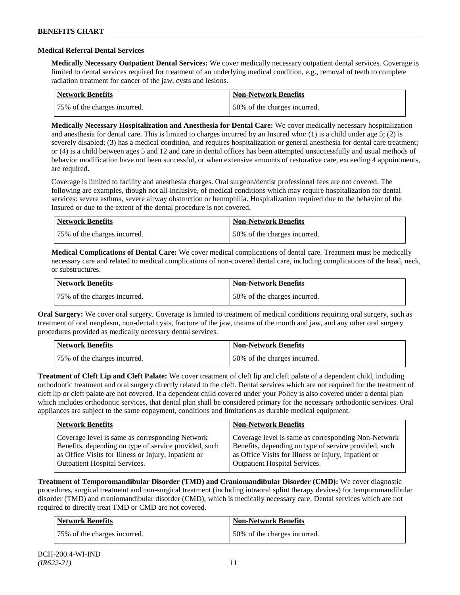#### **Medical Referral Dental Services**

**Medically Necessary Outpatient Dental Services:** We cover medically necessary outpatient dental services. Coverage is limited to dental services required for treatment of an underlying medical condition, e.g., removal of teeth to complete radiation treatment for cancer of the jaw, cysts and lesions.

| <b>Network Benefits</b>      | <b>Non-Network Benefits</b>  |
|------------------------------|------------------------------|
| 75% of the charges incurred. | 50% of the charges incurred. |

**Medically Necessary Hospitalization and Anesthesia for Dental Care:** We cover medically necessary hospitalization and anesthesia for dental care. This is limited to charges incurred by an Insured who: (1) is a child under age 5; (2) is severely disabled; (3) has a medical condition, and requires hospitalization or general anesthesia for dental care treatment; or (4) is a child between ages 5 and 12 and care in dental offices has been attempted unsuccessfully and usual methods of behavior modification have not been successful, or when extensive amounts of restorative care, exceeding 4 appointments, are required.

Coverage is limited to facility and anesthesia charges. Oral surgeon/dentist professional fees are not covered. The following are examples, though not all-inclusive, of medical conditions which may require hospitalization for dental services: severe asthma, severe airway obstruction or hemophilia. Hospitalization required due to the behavior of the Insured or due to the extent of the dental procedure is not covered.

| Network Benefits             | <b>Non-Network Benefits</b>  |
|------------------------------|------------------------------|
| 75% of the charges incurred. | 50% of the charges incurred. |

**Medical Complications of Dental Care:** We cover medical complications of dental care. Treatment must be medically necessary care and related to medical complications of non-covered dental care, including complications of the head, neck, or substructures.

| Network Benefits             | <b>Non-Network Benefits</b>  |
|------------------------------|------------------------------|
| 75% of the charges incurred. | 50% of the charges incurred. |

**Oral Surgery:** We cover oral surgery. Coverage is limited to treatment of medical conditions requiring oral surgery, such as treatment of oral neoplasm, non-dental cysts, fracture of the jaw, trauma of the mouth and jaw, and any other oral surgery procedures provided as medically necessary dental services.

| <b>Network Benefits</b>      | Non-Network Benefits         |
|------------------------------|------------------------------|
| 75% of the charges incurred. | 50% of the charges incurred. |

**Treatment of Cleft Lip and Cleft Palate:** We cover treatment of cleft lip and cleft palate of a dependent child, including orthodontic treatment and oral surgery directly related to the cleft. Dental services which are not required for the treatment of cleft lip or cleft palate are not covered. If a dependent child covered under your Policy is also covered under a dental plan which includes orthodontic services, that dental plan shall be considered primary for the necessary orthodontic services. Oral appliances are subject to the same copayment, conditions and limitations as durable medical equipment.

| <b>Network Benefits</b>                               | <b>Non-Network Benefits</b>                           |
|-------------------------------------------------------|-------------------------------------------------------|
| Coverage level is same as corresponding Network       | Coverage level is same as corresponding Non-Network   |
| Benefits, depending on type of service provided, such | Benefits, depending on type of service provided, such |
| as Office Visits for Illness or Injury, Inpatient or  | as Office Visits for Illness or Injury, Inpatient or  |
| <b>Outpatient Hospital Services.</b>                  | <b>Outpatient Hospital Services.</b>                  |

**Treatment of Temporomandibular Disorder (TMD) and Craniomandibular Disorder (CMD):** We cover diagnostic procedures, surgical treatment and non-surgical treatment (including intraoral splint therapy devices) for temporomandibular disorder (TMD) and craniomandibular disorder (CMD), which is medically necessary care. Dental services which are not required to directly treat TMD or CMD are not covered.

| <b>Network Benefits</b>      | <b>Non-Network Benefits</b>  |
|------------------------------|------------------------------|
| 75% of the charges incurred. | 50% of the charges incurred. |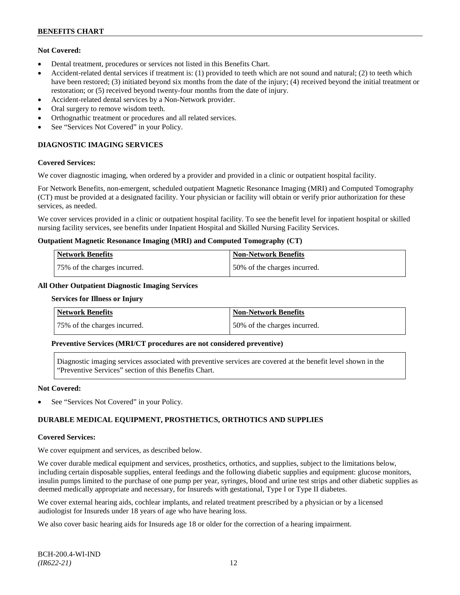### **Not Covered:**

- Dental treatment, procedures or services not listed in this Benefits Chart.
- Accident-related dental services if treatment is: (1) provided to teeth which are not sound and natural; (2) to teeth which have been restored; (3) initiated beyond six months from the date of the injury; (4) received beyond the initial treatment or restoration; or (5) received beyond twenty-four months from the date of injury.
- Accident-related dental services by a Non-Network provider.
- Oral surgery to remove wisdom teeth.
- Orthognathic treatment or procedures and all related services.
- See "Services Not Covered" in your Policy.

## **DIAGNOSTIC IMAGING SERVICES**

#### **Covered Services:**

We cover diagnostic imaging, when ordered by a provider and provided in a clinic or outpatient hospital facility.

For Network Benefits, non-emergent, scheduled outpatient Magnetic Resonance Imaging (MRI) and Computed Tomography (CT) must be provided at a designated facility. Your physician or facility will obtain or verify prior authorization for these services, as needed.

We cover services provided in a clinic or outpatient hospital facility. To see the benefit level for inpatient hospital or skilled nursing facility services, see benefits under Inpatient Hospital and Skilled Nursing Facility Services.

#### **Outpatient Magnetic Resonance Imaging (MRI) and Computed Tomography (CT)**

| <b>Network Benefits</b>      | <b>Non-Network Benefits</b>  |
|------------------------------|------------------------------|
| 75% of the charges incurred. | 50% of the charges incurred. |

#### **All Other Outpatient Diagnostic Imaging Services**

#### **Services for Illness or Injury**

| Network Benefits             | Non-Network Benefits          |
|------------------------------|-------------------------------|
| 75% of the charges incurred. | 150% of the charges incurred. |

### **Preventive Services (MRI/CT procedures are not considered preventive)**

Diagnostic imaging services associated with preventive services are covered at the benefit level shown in the "Preventive Services" section of this Benefits Chart.

#### **Not Covered:**

See "Services Not Covered" in your Policy.

## **DURABLE MEDICAL EQUIPMENT, PROSTHETICS, ORTHOTICS AND SUPPLIES**

#### **Covered Services:**

We cover equipment and services, as described below.

We cover durable medical equipment and services, prosthetics, orthotics, and supplies, subject to the limitations below, including certain disposable supplies, enteral feedings and the following diabetic supplies and equipment: glucose monitors, insulin pumps limited to the purchase of one pump per year, syringes, blood and urine test strips and other diabetic supplies as deemed medically appropriate and necessary, for Insureds with gestational, Type I or Type II diabetes.

We cover external hearing aids, cochlear implants, and related treatment prescribed by a physician or by a licensed audiologist for Insureds under 18 years of age who have hearing loss.

We also cover basic hearing aids for Insureds age 18 or older for the correction of a hearing impairment.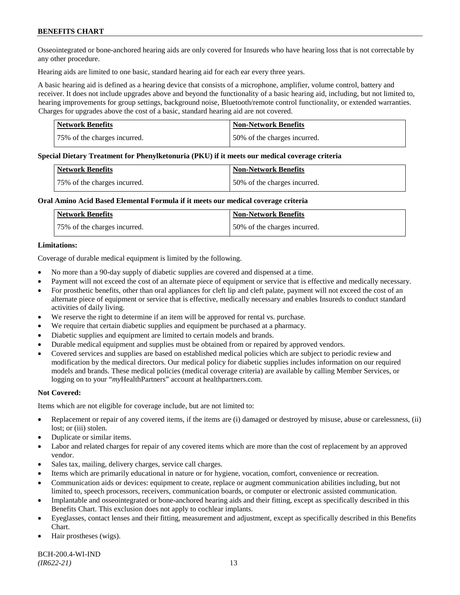## **BENEFITS CHART**

Osseointegrated or bone-anchored hearing aids are only covered for Insureds who have hearing loss that is not correctable by any other procedure.

Hearing aids are limited to one basic, standard hearing aid for each ear every three years.

A basic hearing aid is defined as a hearing device that consists of a microphone, amplifier, volume control, battery and receiver. It does not include upgrades above and beyond the functionality of a basic hearing aid, including, but not limited to, hearing improvements for group settings, background noise, Bluetooth/remote control functionality, or extended warranties. Charges for upgrades above the cost of a basic, standard hearing aid are not covered.

| Network Benefits             | <b>Non-Network Benefits</b>  |
|------------------------------|------------------------------|
| 75% of the charges incurred. | 50% of the charges incurred. |

#### **Special Dietary Treatment for Phenylketonuria (PKU) if it meets our medical coverage criteria**

| <b>Network Benefits</b>      | <b>Non-Network Benefits</b>  |
|------------------------------|------------------------------|
| 75% of the charges incurred. | 50% of the charges incurred. |

#### **Oral Amino Acid Based Elemental Formula if it meets our medical coverage criteria**

| Network Benefits             | <b>Non-Network Benefits</b>  |
|------------------------------|------------------------------|
| 75% of the charges incurred. | 50% of the charges incurred. |

#### **Limitations:**

Coverage of durable medical equipment is limited by the following.

- No more than a 90-day supply of diabetic supplies are covered and dispensed at a time.
- Payment will not exceed the cost of an alternate piece of equipment or service that is effective and medically necessary.
- For prosthetic benefits, other than oral appliances for cleft lip and cleft palate, payment will not exceed the cost of an alternate piece of equipment or service that is effective, medically necessary and enables Insureds to conduct standard activities of daily living.
- We reserve the right to determine if an item will be approved for rental vs. purchase.
- We require that certain diabetic supplies and equipment be purchased at a pharmacy.
- Diabetic supplies and equipment are limited to certain models and brands.
- Durable medical equipment and supplies must be obtained from or repaired by approved vendors.
- Covered services and supplies are based on established medical policies which are subject to periodic review and modification by the medical directors. Our medical policy for diabetic supplies includes information on our required models and brands. These medical policies (medical coverage criteria) are available by calling Member Services, or logging on to your "*my*HealthPartners" account at [healthpartners.com.](http://www.healthpartners.com/)

### **Not Covered:**

Items which are not eligible for coverage include, but are not limited to:

- Replacement or repair of any covered items, if the items are (i) damaged or destroyed by misuse, abuse or carelessness, (ii) lost; or (iii) stolen.
- Duplicate or similar items.
- Labor and related charges for repair of any covered items which are more than the cost of replacement by an approved vendor.
- Sales tax, mailing, delivery charges, service call charges.
- Items which are primarily educational in nature or for hygiene, vocation, comfort, convenience or recreation.
- Communication aids or devices: equipment to create, replace or augment communication abilities including, but not limited to, speech processors, receivers, communication boards, or computer or electronic assisted communication.
- Implantable and osseointegrated or bone-anchored hearing aids and their fitting, except as specifically described in this Benefits Chart. This exclusion does not apply to cochlear implants.
- Eyeglasses, contact lenses and their fitting, measurement and adjustment, except as specifically described in this Benefits Chart.
- Hair prostheses (wigs).

BCH-200.4-WI-IND *(IR622-21)* 13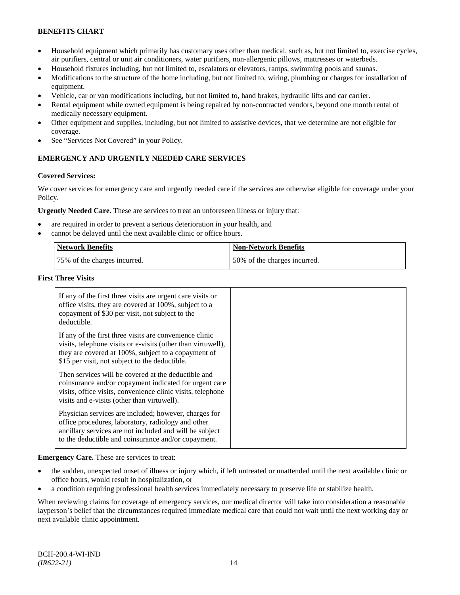## **BENEFITS CHART**

- Household equipment which primarily has customary uses other than medical, such as, but not limited to, exercise cycles, air purifiers, central or unit air conditioners, water purifiers, non-allergenic pillows, mattresses or waterbeds.
- Household fixtures including, but not limited to, escalators or elevators, ramps, swimming pools and saunas.
- Modifications to the structure of the home including, but not limited to, wiring, plumbing or charges for installation of equipment.
- Vehicle, car or van modifications including, but not limited to, hand brakes, hydraulic lifts and car carrier.
- Rental equipment while owned equipment is being repaired by non-contracted vendors, beyond one month rental of medically necessary equipment.
- Other equipment and supplies, including, but not limited to assistive devices, that we determine are not eligible for coverage.
- See "Services Not Covered" in your Policy.

## **EMERGENCY AND URGENTLY NEEDED CARE SERVICES**

#### **Covered Services:**

We cover services for emergency care and urgently needed care if the services are otherwise eligible for coverage under your Policy.

**Urgently Needed Care.** These are services to treat an unforeseen illness or injury that:

- are required in order to prevent a serious deterioration in your health, and
- cannot be delayed until the next available clinic or office hours.

| Network Benefits             | <b>Non-Network Benefits</b>  |
|------------------------------|------------------------------|
| 75% of the charges incurred. | 50% of the charges incurred. |

#### **First Three Visits**

| If any of the first three visits are urgent care visits or<br>office visits, they are covered at 100%, subject to a<br>copayment of \$30 per visit, not subject to the<br>deductible.                                            |  |
|----------------------------------------------------------------------------------------------------------------------------------------------------------------------------------------------------------------------------------|--|
| If any of the first three visits are convenience clinic<br>visits, telephone visits or e-visits (other than virtuwell),<br>they are covered at 100%, subject to a copayment of<br>\$15 per visit, not subject to the deductible. |  |
| Then services will be covered at the deductible and<br>coinsurance and/or copayment indicated for urgent care<br>visits, office visits, convenience clinic visits, telephone<br>visits and e-visits (other than virtuwell).      |  |
| Physician services are included; however, charges for<br>office procedures, laboratory, radiology and other<br>ancillary services are not included and will be subject<br>to the deductible and coinsurance and/or copayment.    |  |

**Emergency Care.** These are services to treat:

- the sudden, unexpected onset of illness or injury which, if left untreated or unattended until the next available clinic or office hours, would result in hospitalization, or
- a condition requiring professional health services immediately necessary to preserve life or stabilize health.

When reviewing claims for coverage of emergency services, our medical director will take into consideration a reasonable layperson's belief that the circumstances required immediate medical care that could not wait until the next working day or next available clinic appointment.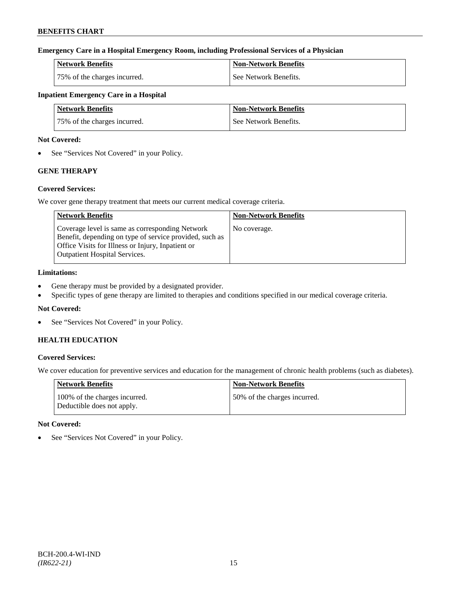## **Emergency Care in a Hospital Emergency Room, including Professional Services of a Physician**

| Network Benefits             | <b>Non-Network Benefits</b> |
|------------------------------|-----------------------------|
| 75% of the charges incurred. | See Network Benefits.       |

## **Inpatient Emergency Care in a Hospital**

| Network Benefits             | <b>Non-Network Benefits</b> |
|------------------------------|-----------------------------|
| 75% of the charges incurred. | See Network Benefits.       |

#### **Not Covered:**

• See "Services Not Covered" in your Policy.

## **GENE THERAPY**

### **Covered Services:**

We cover gene therapy treatment that meets our current medical coverage criteria.

| <b>Network Benefits</b>                                                                                                                                                                                 | <b>Non-Network Benefits</b> |
|---------------------------------------------------------------------------------------------------------------------------------------------------------------------------------------------------------|-----------------------------|
| Coverage level is same as corresponding Network<br>Benefit, depending on type of service provided, such as<br>Office Visits for Illness or Injury, Inpatient or<br><b>Outpatient Hospital Services.</b> | No coverage.                |

## **Limitations:**

- Gene therapy must be provided by a designated provider.
- Specific types of gene therapy are limited to therapies and conditions specified in our medical coverage criteria.

### **Not Covered:**

• See "Services Not Covered" in your Policy.

## **HEALTH EDUCATION**

### **Covered Services:**

We cover education for preventive services and education for the management of chronic health problems (such as diabetes).

| Network Benefits                                            | <b>Non-Network Benefits</b>  |
|-------------------------------------------------------------|------------------------------|
| 100% of the charges incurred.<br>Deductible does not apply. | 50% of the charges incurred. |

### **Not Covered:**

• See "Services Not Covered" in your Policy.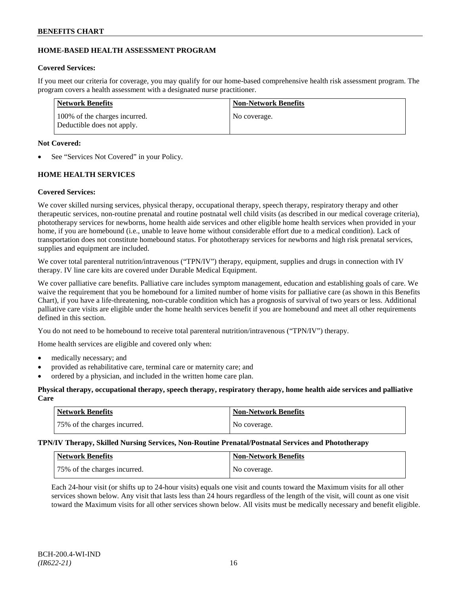### **HOME-BASED HEALTH ASSESSMENT PROGRAM**

### **Covered Services:**

If you meet our criteria for coverage, you may qualify for our home-based comprehensive health risk assessment program. The program covers a health assessment with a designated nurse practitioner.

| Network Benefits                                            | <b>Non-Network Benefits</b> |
|-------------------------------------------------------------|-----------------------------|
| 100% of the charges incurred.<br>Deductible does not apply. | No coverage.                |

### **Not Covered:**

See "Services Not Covered" in your Policy.

## **HOME HEALTH SERVICES**

### **Covered Services:**

We cover skilled nursing services, physical therapy, occupational therapy, speech therapy, respiratory therapy and other therapeutic services, non-routine prenatal and routine postnatal well child visits (as described in our medical coverage criteria), phototherapy services for newborns, home health aide services and other eligible home health services when provided in your home, if you are homebound (i.e., unable to leave home without considerable effort due to a medical condition). Lack of transportation does not constitute homebound status. For phototherapy services for newborns and high risk prenatal services, supplies and equipment are included.

We cover total parenteral nutrition/intravenous ("TPN/IV") therapy, equipment, supplies and drugs in connection with IV therapy. IV line care kits are covered under Durable Medical Equipment.

We cover palliative care benefits. Palliative care includes symptom management, education and establishing goals of care. We waive the requirement that you be homebound for a limited number of home visits for palliative care (as shown in this Benefits Chart), if you have a life-threatening, non-curable condition which has a prognosis of survival of two years or less. Additional palliative care visits are eligible under the home health services benefit if you are homebound and meet all other requirements defined in this section.

You do not need to be homebound to receive total parenteral nutrition/intravenous ("TPN/IV") therapy.

Home health services are eligible and covered only when:

- medically necessary; and
- provided as rehabilitative care, terminal care or maternity care; and
- ordered by a physician, and included in the written home care plan.

### **Physical therapy, occupational therapy, speech therapy, respiratory therapy, home health aide services and palliative Care**

| Network Benefits             | <b>Non-Network Benefits</b> |
|------------------------------|-----------------------------|
| 75% of the charges incurred. | No coverage.                |

### **TPN/IV Therapy, Skilled Nursing Services, Non-Routine Prenatal/Postnatal Services and Phototherapy**

| Network Benefits             | <b>Non-Network Benefits</b> |
|------------------------------|-----------------------------|
| 75% of the charges incurred. | No coverage.                |

Each 24-hour visit (or shifts up to 24-hour visits) equals one visit and counts toward the Maximum visits for all other services shown below. Any visit that lasts less than 24 hours regardless of the length of the visit, will count as one visit toward the Maximum visits for all other services shown below. All visits must be medically necessary and benefit eligible.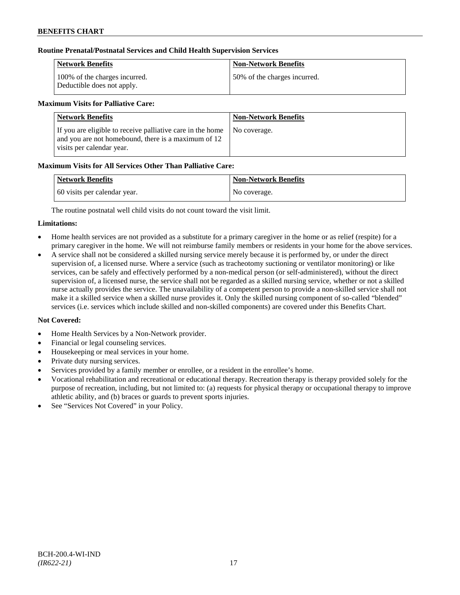### **Routine Prenatal/Postnatal Services and Child Health Supervision Services**

| Network Benefits                                            | <b>Non-Network Benefits</b>  |
|-------------------------------------------------------------|------------------------------|
| 100% of the charges incurred.<br>Deductible does not apply. | 50% of the charges incurred. |

## **Maximum Visits for Palliative Care:**

| <b>Network Benefits</b>                                                                                                                        | <b>Non-Network Benefits</b> |
|------------------------------------------------------------------------------------------------------------------------------------------------|-----------------------------|
| If you are eligible to receive palliative care in the home<br>and you are not homebound, there is a maximum of 12<br>visits per calendar year. | No coverage.                |

## **Maximum Visits for All Services Other Than Palliative Care:**

| <b>Network Benefits</b>      | Non-Network Benefits |
|------------------------------|----------------------|
| 60 visits per calendar year. | No coverage.         |

The routine postnatal well child visits do not count toward the visit limit.

### **Limitations:**

- Home health services are not provided as a substitute for a primary caregiver in the home or as relief (respite) for a primary caregiver in the home. We will not reimburse family members or residents in your home for the above services.
- A service shall not be considered a skilled nursing service merely because it is performed by, or under the direct supervision of, a licensed nurse. Where a service (such as tracheotomy suctioning or ventilator monitoring) or like services, can be safely and effectively performed by a non-medical person (or self-administered), without the direct supervision of, a licensed nurse, the service shall not be regarded as a skilled nursing service, whether or not a skilled nurse actually provides the service. The unavailability of a competent person to provide a non-skilled service shall not make it a skilled service when a skilled nurse provides it. Only the skilled nursing component of so-called "blended" services (i.e. services which include skilled and non-skilled components) are covered under this Benefits Chart.

- Home Health Services by a Non-Network provider.
- Financial or legal counseling services.
- Housekeeping or meal services in your home.
- Private duty nursing services.
- Services provided by a family member or enrollee, or a resident in the enrollee's home.
- Vocational rehabilitation and recreational or educational therapy. Recreation therapy is therapy provided solely for the purpose of recreation, including, but not limited to: (a) requests for physical therapy or occupational therapy to improve athletic ability, and (b) braces or guards to prevent sports injuries.
- See "Services Not Covered" in your Policy.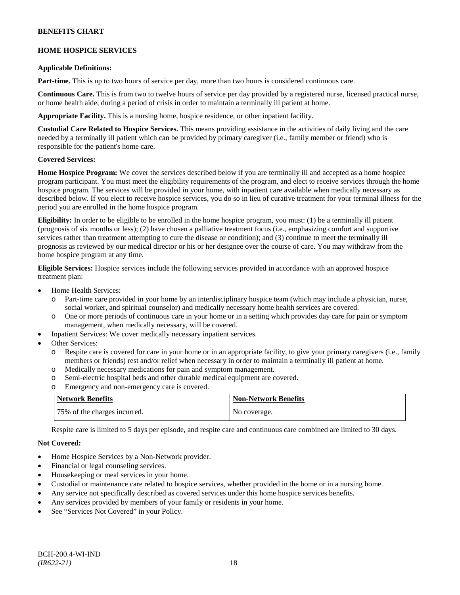### **BENEFITS CHART**

### **HOME HOSPICE SERVICES**

#### **Applicable Definitions:**

**Part-time.** This is up to two hours of service per day, more than two hours is considered continuous care.

**Continuous Care.** This is from two to twelve hours of service per day provided by a registered nurse, licensed practical nurse, or home health aide, during a period of crisis in order to maintain a terminally ill patient at home.

**Appropriate Facility.** This is a nursing home, hospice residence, or other inpatient facility.

**Custodial Care Related to Hospice Services.** This means providing assistance in the activities of daily living and the care needed by a terminally ill patient which can be provided by primary caregiver (i.e., family member or friend) who is responsible for the patient's home care.

### **Covered Services:**

**Home Hospice Program:** We cover the services described below if you are terminally ill and accepted as a home hospice program participant. You must meet the eligibility requirements of the program, and elect to receive services through the home hospice program. The services will be provided in your home, with inpatient care available when medically necessary as described below. If you elect to receive hospice services, you do so in lieu of curative treatment for your terminal illness for the period you are enrolled in the home hospice program.

**Eligibility:** In order to be eligible to be enrolled in the home hospice program, you must: (1) be a terminally ill patient (prognosis of six months or less); (2) have chosen a palliative treatment focus (i.e., emphasizing comfort and supportive services rather than treatment attempting to cure the disease or condition); and (3) continue to meet the terminally ill prognosis as reviewed by our medical director or his or her designee over the course of care. You may withdraw from the home hospice program at any time.

**Eligible Services:** Hospice services include the following services provided in accordance with an approved hospice treatment plan:

- Home Health Services:
	- o Part-time care provided in your home by an interdisciplinary hospice team (which may include a physician, nurse, social worker, and spiritual counselor) and medically necessary home health services are covered.
	- o One or more periods of continuous care in your home or in a setting which provides day care for pain or symptom management, when medically necessary, will be covered.
- Inpatient Services: We cover medically necessary inpatient services.
- Other Services:
	- o Respite care is covered for care in your home or in an appropriate facility, to give your primary caregivers (i.e., family members or friends) rest and/or relief when necessary in order to maintain a terminally ill patient at home*.*
	- o Medically necessary medications for pain and symptom management.
	- o Semi-electric hospital beds and other durable medical equipment are covered.
	- o Emergency and non-emergency care is covered.

| <b>Network Benefits</b>      | <b>Non-Network Benefits</b> |
|------------------------------|-----------------------------|
| 75% of the charges incurred. | No coverage.                |

Respite care is limited to 5 days per episode, and respite care and continuous care combined are limited to 30 days.

- Home Hospice Services by a Non-Network provider.
- Financial or legal counseling services.
- Housekeeping or meal services in your home.
- Custodial or maintenance care related to hospice services, whether provided in the home or in a nursing home.
- Any service not specifically described as covered services under this home hospice services benefits.
- Any services provided by members of your family or residents in your home.
- See "Services Not Covered" in your Policy.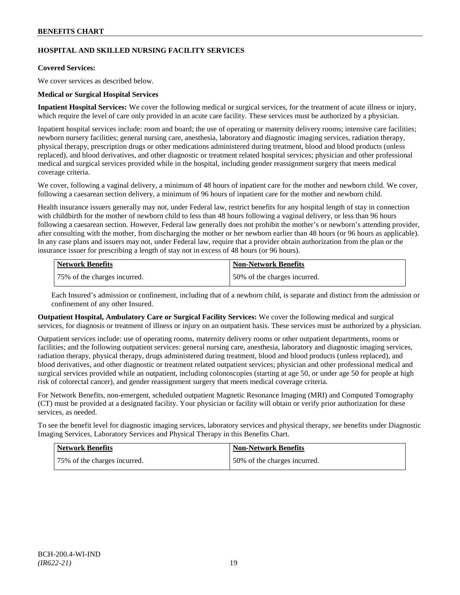## **HOSPITAL AND SKILLED NURSING FACILITY SERVICES**

### **Covered Services:**

We cover services as described below.

### **Medical or Surgical Hospital Services**

**Inpatient Hospital Services:** We cover the following medical or surgical services, for the treatment of acute illness or injury, which require the level of care only provided in an acute care facility. These services must be authorized by a physician.

Inpatient hospital services include: room and board; the use of operating or maternity delivery rooms; intensive care facilities; newborn nursery facilities; general nursing care, anesthesia, laboratory and diagnostic imaging services, radiation therapy, physical therapy, prescription drugs or other medications administered during treatment, blood and blood products (unless replaced), and blood derivatives, and other diagnostic or treatment related hospital services; physician and other professional medical and surgical services provided while in the hospital, including gender reassignment surgery that meets medical coverage criteria.

We cover, following a vaginal delivery, a minimum of 48 hours of inpatient care for the mother and newborn child. We cover, following a caesarean section delivery, a minimum of 96 hours of inpatient care for the mother and newborn child.

Health insurance issuers generally may not, under Federal law, restrict benefits for any hospital length of stay in connection with childbirth for the mother of newborn child to less than 48 hours following a vaginal delivery, or less than 96 hours following a caesarean section. However, Federal law generally does not prohibit the mother's or newborn's attending provider, after consulting with the mother, from discharging the mother or her newborn earlier than 48 hours (or 96 hours as applicable). In any case plans and issuers may not, under Federal law, require that a provider obtain authorization from the plan or the insurance issuer for prescribing a length of stay not in excess of 48 hours (or 96 hours).

| <b>Network Benefits</b>      | <b>Non-Network Benefits</b>  |
|------------------------------|------------------------------|
| 75% of the charges incurred. | 50% of the charges incurred. |

Each Insured's admission or confinement, including that of a newborn child, is separate and distinct from the admission or confinement of any other Insured.

**Outpatient Hospital, Ambulatory Care or Surgical Facility Services:** We cover the following medical and surgical services, for diagnosis or treatment of illness or injury on an outpatient basis. These services must be authorized by a physician.

Outpatient services include: use of operating rooms, maternity delivery rooms or other outpatient departments, rooms or facilities; and the following outpatient services: general nursing care, anesthesia, laboratory and diagnostic imaging services, radiation therapy, physical therapy, drugs administered during treatment, blood and blood products (unless replaced), and blood derivatives, and other diagnostic or treatment related outpatient services; physician and other professional medical and surgical services provided while an outpatient, including colonoscopies (starting at age 50, or under age 50 for people at high risk of colorectal cancer), and gender reassignment surgery that meets medical coverage criteria.

For Network Benefits, non-emergent, scheduled outpatient Magnetic Resonance Imaging (MRI) and Computed Tomography (CT) must be provided at a designated facility. Your physician or facility will obtain or verify prior authorization for these services, as needed.

To see the benefit level for diagnostic imaging services, laboratory services and physical therapy, see benefits under Diagnostic Imaging Services, Laboratory Services and Physical Therapy in this Benefits Chart.

| Network Benefits             | <b>Non-Network Benefits</b>  |
|------------------------------|------------------------------|
| 75% of the charges incurred. | 50% of the charges incurred. |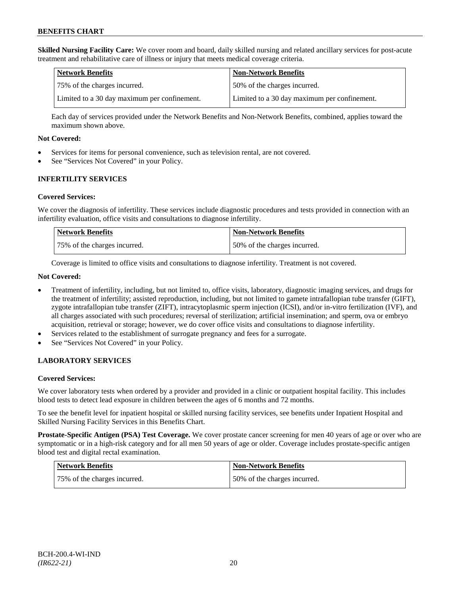**Skilled Nursing Facility Care:** We cover room and board, daily skilled nursing and related ancillary services for post-acute treatment and rehabilitative care of illness or injury that meets medical coverage criteria.

| Network Benefits                             | <b>Non-Network Benefits</b>                  |
|----------------------------------------------|----------------------------------------------|
| 175% of the charges incurred.                | 50% of the charges incurred.                 |
| Limited to a 30 day maximum per confinement. | Limited to a 30 day maximum per confinement. |

Each day of services provided under the Network Benefits and Non-Network Benefits, combined, applies toward the maximum shown above.

#### **Not Covered:**

- Services for items for personal convenience, such as television rental, are not covered.
- See "Services Not Covered" in your Policy.

### **INFERTILITY SERVICES**

#### **Covered Services:**

We cover the diagnosis of infertility. These services include diagnostic procedures and tests provided in connection with an infertility evaluation, office visits and consultations to diagnose infertility.

| <b>Network Benefits</b>      | <b>Non-Network Benefits</b>  |
|------------------------------|------------------------------|
| 75% of the charges incurred. | 50% of the charges incurred. |

Coverage is limited to office visits and consultations to diagnose infertility. Treatment is not covered.

#### **Not Covered:**

- Treatment of infertility, including, but not limited to, office visits, laboratory, diagnostic imaging services, and drugs for the treatment of infertility; assisted reproduction, including, but not limited to gamete intrafallopian tube transfer (GIFT), zygote intrafallopian tube transfer (ZIFT), intracytoplasmic sperm injection (ICSI), and/or in-vitro fertilization (IVF), and all charges associated with such procedures; reversal of sterilization; artificial insemination; and sperm, ova or embryo acquisition, retrieval or storage; however, we do cover office visits and consultations to diagnose infertility.
- Services related to the establishment of surrogate pregnancy and fees for a surrogate.
- See "Services Not Covered" in your Policy.

### **LABORATORY SERVICES**

### **Covered Services:**

We cover laboratory tests when ordered by a provider and provided in a clinic or outpatient hospital facility. This includes blood tests to detect lead exposure in children between the ages of 6 months and 72 months.

To see the benefit level for inpatient hospital or skilled nursing facility services, see benefits under Inpatient Hospital and Skilled Nursing Facility Services in this Benefits Chart.

**Prostate-Specific Antigen (PSA) Test Coverage.** We cover prostate cancer screening for men 40 years of age or over who are symptomatic or in a high-risk category and for all men 50 years of age or older. Coverage includes prostate-specific antigen blood test and digital rectal examination.

| Network Benefits             | Non-Network Benefits         |
|------------------------------|------------------------------|
| 75% of the charges incurred. | 50% of the charges incurred. |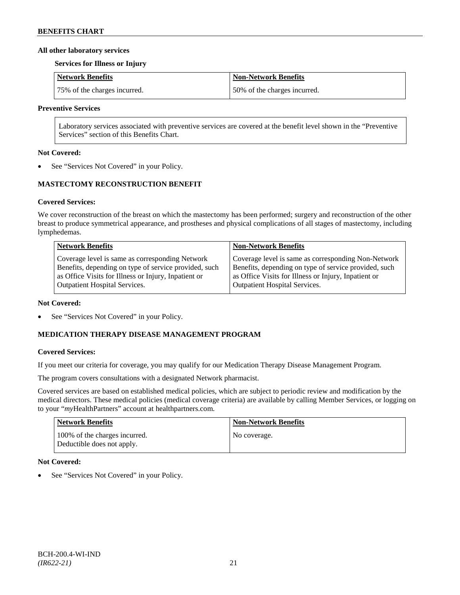#### **All other laboratory services**

#### **Services for Illness or Injury**

| Network Benefits             | Non-Network Benefits         |
|------------------------------|------------------------------|
| 75% of the charges incurred. | 50% of the charges incurred. |

#### **Preventive Services**

Laboratory services associated with preventive services are covered at the benefit level shown in the "Preventive Services" section of this Benefits Chart.

#### **Not Covered:**

See "Services Not Covered" in your Policy.

#### **MASTECTOMY RECONSTRUCTION BENEFIT**

#### **Covered Services:**

We cover reconstruction of the breast on which the mastectomy has been performed; surgery and reconstruction of the other breast to produce symmetrical appearance, and prostheses and physical complications of all stages of mastectomy, including lymphedemas.

| <b>Network Benefits</b>                               | <b>Non-Network Benefits</b>                           |
|-------------------------------------------------------|-------------------------------------------------------|
| Coverage level is same as corresponding Network       | Coverage level is same as corresponding Non-Network   |
| Benefits, depending on type of service provided, such | Benefits, depending on type of service provided, such |
| as Office Visits for Illness or Injury, Inpatient or  | as Office Visits for Illness or Injury, Inpatient or  |
| <b>Outpatient Hospital Services.</b>                  | Outpatient Hospital Services.                         |

#### **Not Covered:**

• See "Services Not Covered" in your Policy.

## **MEDICATION THERAPY DISEASE MANAGEMENT PROGRAM**

#### **Covered Services:**

If you meet our criteria for coverage, you may qualify for our Medication Therapy Disease Management Program.

The program covers consultations with a designated Network pharmacist.

Covered services are based on established medical policies, which are subject to periodic review and modification by the medical directors. These medical policies (medical coverage criteria) are available by calling Member Services, or logging on to your "*my*HealthPartners" account at [healthpartners.com.](http://www.healthpartners.com/)

| <b>Network Benefits</b>                                     | Non-Network Benefits |
|-------------------------------------------------------------|----------------------|
| 100% of the charges incurred.<br>Deductible does not apply. | No coverage.         |

#### **Not Covered:**

See "Services Not Covered" in your Policy.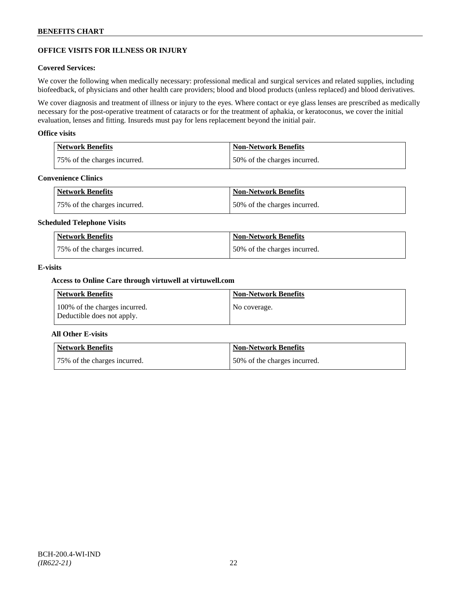## **OFFICE VISITS FOR ILLNESS OR INJURY**

#### **Covered Services:**

We cover the following when medically necessary: professional medical and surgical services and related supplies, including biofeedback, of physicians and other health care providers; blood and blood products (unless replaced) and blood derivatives.

We cover diagnosis and treatment of illness or injury to the eyes. Where contact or eye glass lenses are prescribed as medically necessary for the post-operative treatment of cataracts or for the treatment of aphakia, or keratoconus, we cover the initial evaluation, lenses and fitting. Insureds must pay for lens replacement beyond the initial pair.

#### **Office visits**

| <b>Network Benefits</b>      | <b>Non-Network Benefits</b>  |
|------------------------------|------------------------------|
| 75% of the charges incurred. | 50% of the charges incurred. |

### **Convenience Clinics**

| Network Benefits             | <b>Non-Network Benefits</b>  |
|------------------------------|------------------------------|
| 75% of the charges incurred. | 50% of the charges incurred. |

#### **Scheduled Telephone Visits**

| <b>Network Benefits</b>      | <b>Non-Network Benefits</b>  |
|------------------------------|------------------------------|
| 75% of the charges incurred. | 50% of the charges incurred. |

#### **E-visits**

#### **Access to Online Care through virtuwell a[t virtuwell.com](http://www.virtuwell.com/)**

| Network Benefits                                            | <b>Non-Network Benefits</b> |
|-------------------------------------------------------------|-----------------------------|
| 100% of the charges incurred.<br>Deductible does not apply. | No coverage.                |

### **All Other E-visits**

| Network Benefits             | <b>Non-Network Benefits</b>  |
|------------------------------|------------------------------|
| 75% of the charges incurred. | 50% of the charges incurred. |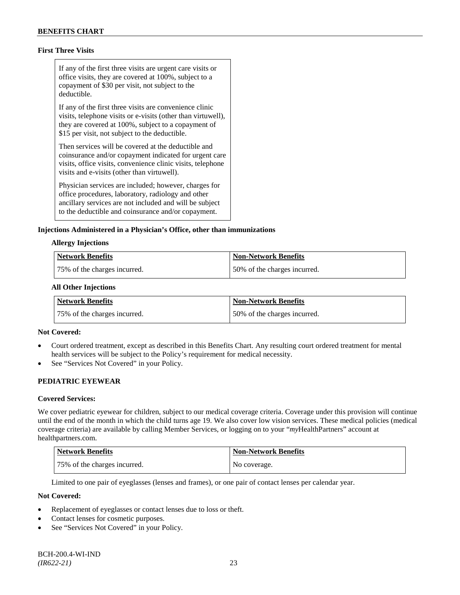## **First Three Visits**

If any of the first three visits are urgent care visits or office visits, they are covered at 100%, subject to a copayment of \$30 per visit, not subject to the deductible.

If any of the first three visits are convenience clinic visits, telephone visits or e-visits (other than virtuwell), they are covered at 100%, subject to a copayment of \$15 per visit, not subject to the deductible.

Then services will be covered at the deductible and coinsurance and/or copayment indicated for urgent care visits, office visits, convenience clinic visits, telephone visits and e-visits (other than virtuwell).

Physician services are included; however, charges for office procedures, laboratory, radiology and other ancillary services are not included and will be subject to the deductible and coinsurance and/or copayment.

#### **Injections Administered in a Physician's Office, other than immunizations**

#### **Allergy Injections**

| Network Benefits             | Non-Network Benefits         |
|------------------------------|------------------------------|
| 75% of the charges incurred. | 50% of the charges incurred. |

#### **All Other Injections**

| Network Benefits             | <b>Non-Network Benefits</b>  |
|------------------------------|------------------------------|
| 75% of the charges incurred. | 50% of the charges incurred. |

#### **Not Covered:**

- Court ordered treatment, except as described in this Benefits Chart. Any resulting court ordered treatment for mental health services will be subject to the Policy's requirement for medical necessity.
- See "Services Not Covered" in your Policy.

### **PEDIATRIC EYEWEAR**

#### **Covered Services:**

We cover pediatric eyewear for children, subject to our medical coverage criteria. Coverage under this provision will continue until the end of the month in which the child turns age 19. We also cover low vision services. These medical policies (medical coverage criteria) are available by calling Member Services, or logging on to your "*my*HealthPartners" account at [healthpartners.com.](http://www.healthpartners.com/)

| Network Benefits             | Non-Network Benefits |
|------------------------------|----------------------|
| 75% of the charges incurred. | No coverage.         |

Limited to one pair of eyeglasses (lenses and frames), or one pair of contact lenses per calendar year.

- Replacement of eyeglasses or contact lenses due to loss or theft.
- Contact lenses for cosmetic purposes.
- See "Services Not Covered" in your Policy.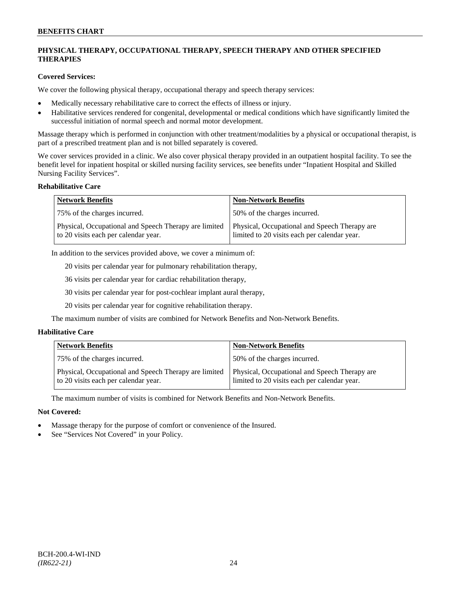## **PHYSICAL THERAPY, OCCUPATIONAL THERAPY, SPEECH THERAPY AND OTHER SPECIFIED THERAPIES**

### **Covered Services:**

We cover the following physical therapy, occupational therapy and speech therapy services:

- Medically necessary rehabilitative care to correct the effects of illness or injury.
- Habilitative services rendered for congenital, developmental or medical conditions which have significantly limited the successful initiation of normal speech and normal motor development.

Massage therapy which is performed in conjunction with other treatment/modalities by a physical or occupational therapist, is part of a prescribed treatment plan and is not billed separately is covered.

We cover services provided in a clinic. We also cover physical therapy provided in an outpatient hospital facility. To see the benefit level for inpatient hospital or skilled nursing facility services, see benefits under "Inpatient Hospital and Skilled Nursing Facility Services".

#### **Rehabilitative Care**

| <b>Network Benefits</b>                                                                       | <b>Non-Network Benefits</b>                                                                   |
|-----------------------------------------------------------------------------------------------|-----------------------------------------------------------------------------------------------|
| 75% of the charges incurred.                                                                  | 50% of the charges incurred.                                                                  |
| Physical, Occupational and Speech Therapy are limited<br>to 20 visits each per calendar year. | Physical, Occupational and Speech Therapy are<br>limited to 20 visits each per calendar year. |

In addition to the services provided above, we cover a minimum of:

20 visits per calendar year for pulmonary rehabilitation therapy,

36 visits per calendar year for cardiac rehabilitation therapy,

30 visits per calendar year for post-cochlear implant aural therapy,

20 visits per calendar year for cognitive rehabilitation therapy.

The maximum number of visits are combined for Network Benefits and Non-Network Benefits.

### **Habilitative Care**

| <b>Network Benefits</b>                                                                       | <b>Non-Network Benefits</b>                                                                   |
|-----------------------------------------------------------------------------------------------|-----------------------------------------------------------------------------------------------|
| 75% of the charges incurred.                                                                  | 150% of the charges incurred.                                                                 |
| Physical, Occupational and Speech Therapy are limited<br>to 20 visits each per calendar year. | Physical, Occupational and Speech Therapy are<br>limited to 20 visits each per calendar year. |

The maximum number of visits is combined for Network Benefits and Non-Network Benefits.

- Massage therapy for the purpose of comfort or convenience of the Insured.
- See "Services Not Covered" in your Policy.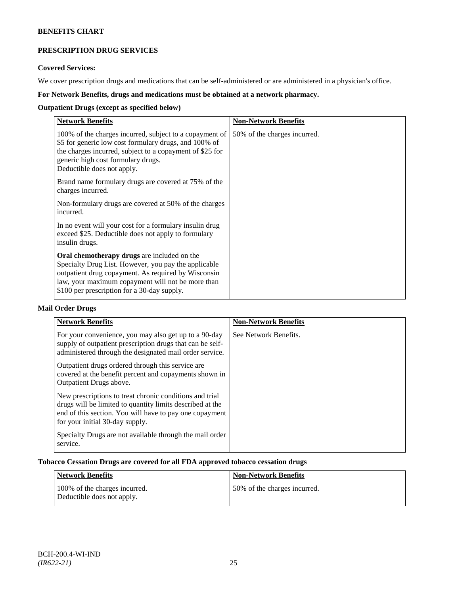## **PRESCRIPTION DRUG SERVICES**

### **Covered Services:**

We cover prescription drugs and medications that can be self-administered or are administered in a physician's office.

## **For Network Benefits, drugs and medications must be obtained at a network pharmacy.**

## **Outpatient Drugs (except as specified below)**

| <b>Network Benefits</b>                                                                                                                                                                                                                                               | <b>Non-Network Benefits</b>  |
|-----------------------------------------------------------------------------------------------------------------------------------------------------------------------------------------------------------------------------------------------------------------------|------------------------------|
| 100% of the charges incurred, subject to a copayment of<br>\$5 for generic low cost formulary drugs, and 100% of<br>the charges incurred, subject to a copayment of \$25 for<br>generic high cost formulary drugs.<br>Deductible does not apply.                      | 50% of the charges incurred. |
| Brand name formulary drugs are covered at 75% of the<br>charges incurred.                                                                                                                                                                                             |                              |
| Non-formulary drugs are covered at 50% of the charges<br>incurred.                                                                                                                                                                                                    |                              |
| In no event will your cost for a formulary insulin drug<br>exceed \$25. Deductible does not apply to formulary<br>insulin drugs.                                                                                                                                      |                              |
| <b>Oral chemotherapy drugs</b> are included on the<br>Specialty Drug List. However, you pay the applicable<br>outpatient drug copayment. As required by Wisconsin<br>law, your maximum copayment will not be more than<br>\$100 per prescription for a 30-day supply. |                              |

## **Mail Order Drugs**

| <b>Network Benefits</b>                                                                                                                                                                                            | <b>Non-Network Benefits</b> |
|--------------------------------------------------------------------------------------------------------------------------------------------------------------------------------------------------------------------|-----------------------------|
| For your convenience, you may also get up to a 90-day<br>supply of outpatient prescription drugs that can be self-<br>administered through the designated mail order service.                                      | See Network Benefits.       |
| Outpatient drugs ordered through this service are.<br>covered at the benefit percent and copayments shown in<br>Outpatient Drugs above.                                                                            |                             |
| New prescriptions to treat chronic conditions and trial<br>drugs will be limited to quantity limits described at the<br>end of this section. You will have to pay one copayment<br>for your initial 30-day supply. |                             |
| Specialty Drugs are not available through the mail order<br>service.                                                                                                                                               |                             |

### **Tobacco Cessation Drugs are covered for all FDA approved tobacco cessation drugs**

| Network Benefits                                            | <b>Non-Network Benefits</b>  |
|-------------------------------------------------------------|------------------------------|
| 100% of the charges incurred.<br>Deductible does not apply. | 50% of the charges incurred. |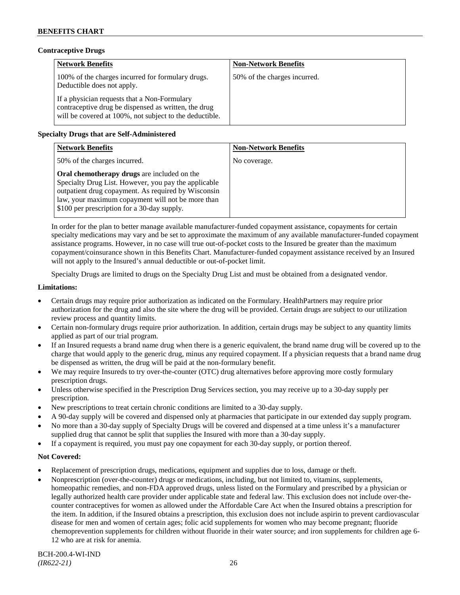### **Contraceptive Drugs**

| <b>Network Benefits</b>                                                                                                                                         | <b>Non-Network Benefits</b>  |
|-----------------------------------------------------------------------------------------------------------------------------------------------------------------|------------------------------|
| 100% of the charges incurred for formulary drugs.<br>Deductible does not apply.                                                                                 | 50% of the charges incurred. |
| If a physician requests that a Non-Formulary<br>contraceptive drug be dispensed as written, the drug<br>will be covered at 100%, not subject to the deductible. |                              |

## **Specialty Drugs that are Self-Administered**

| <b>Network Benefits</b>                                                                                                                                                                                                                                        | <b>Non-Network Benefits</b> |
|----------------------------------------------------------------------------------------------------------------------------------------------------------------------------------------------------------------------------------------------------------------|-----------------------------|
| 50% of the charges incurred.                                                                                                                                                                                                                                   | No coverage.                |
| Oral chemotherapy drugs are included on the<br>Specialty Drug List. However, you pay the applicable<br>outpatient drug copayment. As required by Wisconsin<br>law, your maximum copayment will not be more than<br>\$100 per prescription for a 30-day supply. |                             |

In order for the plan to better manage available manufacturer-funded copayment assistance, copayments for certain specialty medications may vary and be set to approximate the maximum of any available manufacturer-funded copayment assistance programs. However, in no case will true out-of-pocket costs to the Insured be greater than the maximum copayment/coinsurance shown in this Benefits Chart. Manufacturer-funded copayment assistance received by an Insured will not apply to the Insured's annual deductible or out-of-pocket limit.

Specialty Drugs are limited to drugs on the Specialty Drug List and must be obtained from a designated vendor.

#### **Limitations:**

- Certain drugs may require prior authorization as indicated on the Formulary. HealthPartners may require prior authorization for the drug and also the site where the drug will be provided. Certain drugs are subject to our utilization review process and quantity limits.
- Certain non-formulary drugs require prior authorization. In addition, certain drugs may be subject to any quantity limits applied as part of our trial program.
- If an Insured requests a brand name drug when there is a generic equivalent, the brand name drug will be covered up to the charge that would apply to the generic drug, minus any required copayment. If a physician requests that a brand name drug be dispensed as written, the drug will be paid at the non-formulary benefit.
- We may require Insureds to try over-the-counter (OTC) drug alternatives before approving more costly formulary prescription drugs.
- Unless otherwise specified in the Prescription Drug Services section, you may receive up to a 30-day supply per prescription.
- New prescriptions to treat certain chronic conditions are limited to a 30-day supply.
- A 90-day supply will be covered and dispensed only at pharmacies that participate in our extended day supply program.
- No more than a 30-day supply of Specialty Drugs will be covered and dispensed at a time unless it's a manufacturer supplied drug that cannot be split that supplies the Insured with more than a 30-day supply.
- If a copayment is required, you must pay one copayment for each 30-day supply, or portion thereof.

- Replacement of prescription drugs, medications, equipment and supplies due to loss, damage or theft.
- Nonprescription (over-the-counter) drugs or medications, including, but not limited to, vitamins, supplements, homeopathic remedies, and non-FDA approved drugs, unless listed on the Formulary and prescribed by a physician or legally authorized health care provider under applicable state and federal law. This exclusion does not include over-thecounter contraceptives for women as allowed under the Affordable Care Act when the Insured obtains a prescription for the item. In addition, if the Insured obtains a prescription, this exclusion does not include aspirin to prevent cardiovascular disease for men and women of certain ages; folic acid supplements for women who may become pregnant; fluoride chemoprevention supplements for children without fluoride in their water source; and iron supplements for children age 6- 12 who are at risk for anemia.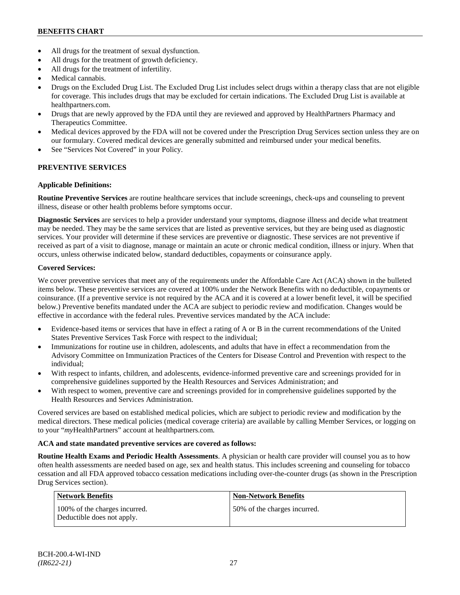## **BENEFITS CHART**

- All drugs for the treatment of sexual dysfunction.
- All drugs for the treatment of growth deficiency.
- All drugs for the treatment of infertility.
- Medical cannabis.
- Drugs on the Excluded Drug List. The Excluded Drug List includes select drugs within a therapy class that are not eligible for coverage. This includes drugs that may be excluded for certain indications. The Excluded Drug List is available at [healthpartners.com.](http://www.healthpartners.com/)
- Drugs that are newly approved by the FDA until they are reviewed and approved by HealthPartners Pharmacy and Therapeutics Committee.
- Medical devices approved by the FDA will not be covered under the Prescription Drug Services section unless they are on our formulary. Covered medical devices are generally submitted and reimbursed under your medical benefits.
- See "Services Not Covered" in your Policy.

## **PREVENTIVE SERVICES**

### **Applicable Definitions:**

**Routine Preventive Services** are routine healthcare services that include screenings, check-ups and counseling to prevent illness, disease or other health problems before symptoms occur.

**Diagnostic Services** are services to help a provider understand your symptoms, diagnose illness and decide what treatment may be needed. They may be the same services that are listed as preventive services, but they are being used as diagnostic services. Your provider will determine if these services are preventive or diagnostic. These services are not preventive if received as part of a visit to diagnose, manage or maintain an acute or chronic medical condition, illness or injury. When that occurs, unless otherwise indicated below, standard deductibles, copayments or coinsurance apply.

### **Covered Services:**

We cover preventive services that meet any of the requirements under the Affordable Care Act (ACA) shown in the bulleted items below. These preventive services are covered at 100% under the Network Benefits with no deductible, copayments or coinsurance. (If a preventive service is not required by the ACA and it is covered at a lower benefit level, it will be specified below.) Preventive benefits mandated under the ACA are subject to periodic review and modification. Changes would be effective in accordance with the federal rules. Preventive services mandated by the ACA include:

- Evidence-based items or services that have in effect a rating of A or B in the current recommendations of the United States Preventive Services Task Force with respect to the individual;
- Immunizations for routine use in children, adolescents, and adults that have in effect a recommendation from the Advisory Committee on Immunization Practices of the Centers for Disease Control and Prevention with respect to the individual;
- With respect to infants, children, and adolescents, evidence-informed preventive care and screenings provided for in comprehensive guidelines supported by the Health Resources and Services Administration; and
- With respect to women, preventive care and screenings provided for in comprehensive guidelines supported by the Health Resources and Services Administration.

Covered services are based on established medical policies, which are subject to periodic review and modification by the medical directors. These medical policies (medical coverage criteria) are available by calling Member Services, or logging on to your "*my*HealthPartners" account at [healthpartners.com.](http://www.healthpartners.com/)

### **ACA and state mandated preventive services are covered as follows:**

**Routine Health Exams and Periodic Health Assessments**. A physician or health care provider will counsel you as to how often health assessments are needed based on age, sex and health status. This includes screening and counseling for tobacco cessation and all FDA approved tobacco cessation medications including over-the-counter drugs (as shown in the Prescription Drug Services section).

| Network Benefits                                            | <b>Non-Network Benefits</b>  |
|-------------------------------------------------------------|------------------------------|
| 100% of the charges incurred.<br>Deductible does not apply. | 50% of the charges incurred. |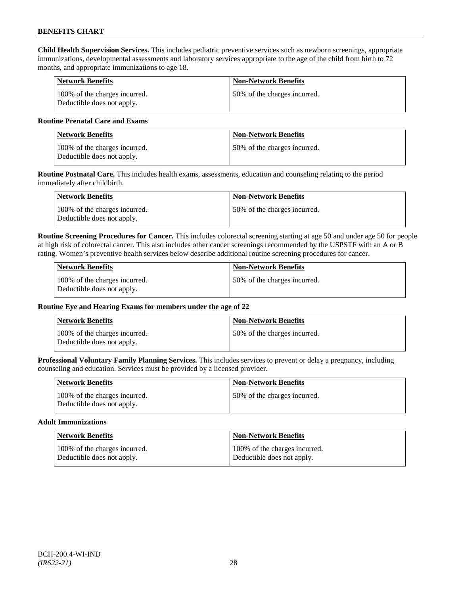**Child Health Supervision Services.** This includes pediatric preventive services such as newborn screenings, appropriate immunizations, developmental assessments and laboratory services appropriate to the age of the child from birth to 72 months, and appropriate immunizations to age 18.

| <b>Network Benefits</b>                                     | <b>Non-Network Benefits</b>  |
|-------------------------------------------------------------|------------------------------|
| 100% of the charges incurred.<br>Deductible does not apply. | 50% of the charges incurred. |

#### **Routine Prenatal Care and Exams**

| <b>Network Benefits</b>                                     | <b>Non-Network Benefits</b>   |
|-------------------------------------------------------------|-------------------------------|
| 100% of the charges incurred.<br>Deductible does not apply. | 150% of the charges incurred. |

**Routine Postnatal Care.** This includes health exams, assessments, education and counseling relating to the period immediately after childbirth.

| Network Benefits                                            | <b>Non-Network Benefits</b>  |
|-------------------------------------------------------------|------------------------------|
| 100% of the charges incurred.<br>Deductible does not apply. | 50% of the charges incurred. |

**Routine Screening Procedures for Cancer.** This includes colorectal screening starting at age 50 and under age 50 for people at high risk of colorectal cancer. This also includes other cancer screenings recommended by the USPSTF with an A or B rating. Women's preventive health services below describe additional routine screening procedures for cancer.

| Network Benefits                                            | <b>Non-Network Benefits</b>  |
|-------------------------------------------------------------|------------------------------|
| 100% of the charges incurred.<br>Deductible does not apply. | 50% of the charges incurred. |

### **Routine Eye and Hearing Exams for members under the age of 22**

| <b>Network Benefits</b>                                     | <b>Non-Network Benefits</b>  |
|-------------------------------------------------------------|------------------------------|
| 100% of the charges incurred.<br>Deductible does not apply. | 50% of the charges incurred. |

**Professional Voluntary Family Planning Services.** This includes services to prevent or delay a pregnancy, including counseling and education. Services must be provided by a licensed provider.

| <b>Network Benefits</b>                                     | <b>Non-Network Benefits</b>   |
|-------------------------------------------------------------|-------------------------------|
| 100% of the charges incurred.<br>Deductible does not apply. | 150% of the charges incurred. |

#### **Adult Immunizations**

| <b>Network Benefits</b>       | <b>Non-Network Benefits</b>   |
|-------------------------------|-------------------------------|
| 100% of the charges incurred. | 100% of the charges incurred. |
| Deductible does not apply.    | Deductible does not apply.    |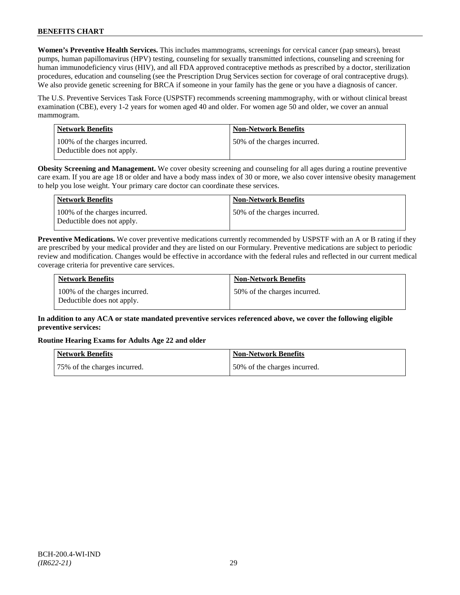**Women's Preventive Health Services.** This includes mammograms, screenings for cervical cancer (pap smears), breast pumps, human papillomavirus (HPV) testing, counseling for sexually transmitted infections, counseling and screening for human immunodeficiency virus (HIV), and all FDA approved contraceptive methods as prescribed by a doctor, sterilization procedures, education and counseling (see the Prescription Drug Services section for coverage of oral contraceptive drugs). We also provide genetic screening for BRCA if someone in your family has the gene or you have a diagnosis of cancer.

The U.S. Preventive Services Task Force (USPSTF) recommends screening mammography, with or without clinical breast examination (CBE), every 1-2 years for women aged 40 and older. For women age 50 and older, we cover an annual mammogram.

| Network Benefits                                            | <b>Non-Network Benefits</b>  |
|-------------------------------------------------------------|------------------------------|
| 100% of the charges incurred.<br>Deductible does not apply. | 50% of the charges incurred. |

**Obesity Screening and Management.** We cover obesity screening and counseling for all ages during a routine preventive care exam. If you are age 18 or older and have a body mass index of 30 or more, we also cover intensive obesity management to help you lose weight. Your primary care doctor can coordinate these services.

| <b>Network Benefits</b>                                     | <b>Non-Network Benefits</b>  |
|-------------------------------------------------------------|------------------------------|
| 100% of the charges incurred.<br>Deductible does not apply. | 50% of the charges incurred. |

**Preventive Medications.** We cover preventive medications currently recommended by USPSTF with an A or B rating if they are prescribed by your medical provider and they are listed on our Formulary. Preventive medications are subject to periodic review and modification. Changes would be effective in accordance with the federal rules and reflected in our current medical coverage criteria for preventive care services.

| <b>Network Benefits</b>                                     | <b>Non-Network Benefits</b>  |
|-------------------------------------------------------------|------------------------------|
| 100% of the charges incurred.<br>Deductible does not apply. | 50% of the charges incurred. |

## **In addition to any ACA or state mandated preventive services referenced above, we cover the following eligible preventive services:**

### **Routine Hearing Exams for Adults Age 22 and older**

| Network Benefits             | Non-Network Benefits         |
|------------------------------|------------------------------|
| 75% of the charges incurred. | 50% of the charges incurred. |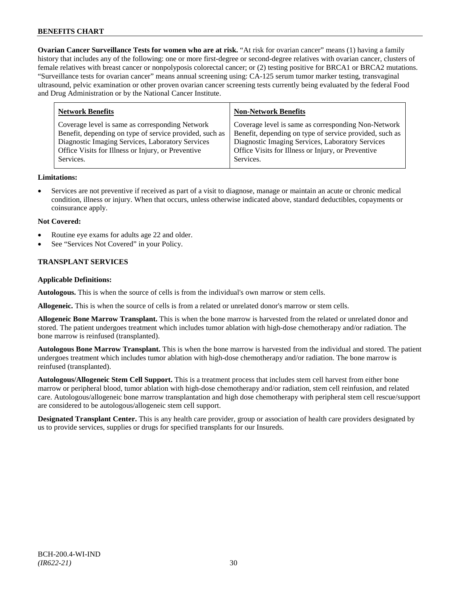**Ovarian Cancer Surveillance Tests for women who are at risk.** "At risk for ovarian cancer" means (1) having a family history that includes any of the following: one or more first-degree or second-degree relatives with ovarian cancer, clusters of female relatives with breast cancer or nonpolyposis colorectal cancer; or (2) testing positive for BRCA1 or BRCA2 mutations. "Surveillance tests for ovarian cancer" means annual screening using: CA-125 serum tumor marker testing, transvaginal ultrasound, pelvic examination or other proven ovarian cancer screening tests currently being evaluated by the federal Food and Drug Administration or by the National Cancer Institute.

| <b>Network Benefits</b>                                 | <b>Non-Network Benefits</b>                             |
|---------------------------------------------------------|---------------------------------------------------------|
| Coverage level is same as corresponding Network         | Coverage level is same as corresponding Non-Network     |
| Benefit, depending on type of service provided, such as | Benefit, depending on type of service provided, such as |
| Diagnostic Imaging Services, Laboratory Services        | Diagnostic Imaging Services, Laboratory Services        |
| Office Visits for Illness or Injury, or Preventive      | Office Visits for Illness or Injury, or Preventive      |
| Services.                                               | Services.                                               |

### **Limitations:**

• Services are not preventive if received as part of a visit to diagnose, manage or maintain an acute or chronic medical condition, illness or injury. When that occurs, unless otherwise indicated above, standard deductibles, copayments or coinsurance apply.

#### **Not Covered:**

- Routine eye exams for adults age 22 and older.
- See "Services Not Covered" in your Policy.

### **TRANSPLANT SERVICES**

#### **Applicable Definitions:**

**Autologous.** This is when the source of cells is from the individual's own marrow or stem cells.

**Allogeneic.** This is when the source of cells is from a related or unrelated donor's marrow or stem cells.

**Allogeneic Bone Marrow Transplant.** This is when the bone marrow is harvested from the related or unrelated donor and stored. The patient undergoes treatment which includes tumor ablation with high-dose chemotherapy and/or radiation. The bone marrow is reinfused (transplanted).

**Autologous Bone Marrow Transplant.** This is when the bone marrow is harvested from the individual and stored. The patient undergoes treatment which includes tumor ablation with high-dose chemotherapy and/or radiation. The bone marrow is reinfused (transplanted).

**Autologous/Allogeneic Stem Cell Support.** This is a treatment process that includes stem cell harvest from either bone marrow or peripheral blood, tumor ablation with high-dose chemotherapy and/or radiation, stem cell reinfusion, and related care. Autologous/allogeneic bone marrow transplantation and high dose chemotherapy with peripheral stem cell rescue/support are considered to be autologous/allogeneic stem cell support.

**Designated Transplant Center.** This is any health care provider, group or association of health care providers designated by us to provide services, supplies or drugs for specified transplants for our Insureds.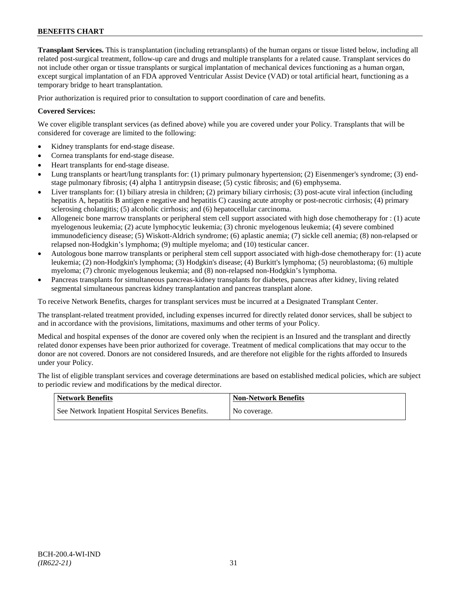**Transplant Services.** This is transplantation (including retransplants) of the human organs or tissue listed below, including all related post-surgical treatment, follow-up care and drugs and multiple transplants for a related cause. Transplant services do not include other organ or tissue transplants or surgical implantation of mechanical devices functioning as a human organ, except surgical implantation of an FDA approved Ventricular Assist Device (VAD) or total artificial heart, functioning as a temporary bridge to heart transplantation.

Prior authorization is required prior to consultation to support coordination of care and benefits.

### **Covered Services:**

We cover eligible transplant services (as defined above) while you are covered under your Policy. Transplants that will be considered for coverage are limited to the following:

- Kidney transplants for end-stage disease.
- Cornea transplants for end-stage disease.
- Heart transplants for end-stage disease.
- Lung transplants or heart/lung transplants for: (1) primary pulmonary hypertension; (2) Eisenmenger's syndrome; (3) endstage pulmonary fibrosis; (4) alpha 1 antitrypsin disease; (5) cystic fibrosis; and (6) emphysema.
- Liver transplants for: (1) biliary atresia in children; (2) primary biliary cirrhosis; (3) post-acute viral infection (including hepatitis A, hepatitis B antigen e negative and hepatitis C) causing acute atrophy or post-necrotic cirrhosis; (4) primary sclerosing cholangitis; (5) alcoholic cirrhosis; and (6) hepatocellular carcinoma.
- Allogeneic bone marrow transplants or peripheral stem cell support associated with high dose chemotherapy for : (1) acute myelogenous leukemia; (2) acute lymphocytic leukemia; (3) chronic myelogenous leukemia; (4) severe combined immunodeficiency disease; (5) Wiskott-Aldrich syndrome; (6) aplastic anemia; (7) sickle cell anemia; (8) non-relapsed or relapsed non-Hodgkin's lymphoma; (9) multiple myeloma; and (10) testicular cancer.
- Autologous bone marrow transplants or peripheral stem cell support associated with high-dose chemotherapy for: (1) acute leukemia; (2) non-Hodgkin's lymphoma; (3) Hodgkin's disease; (4) Burkitt's lymphoma; (5) neuroblastoma; (6) multiple myeloma; (7) chronic myelogenous leukemia; and (8) non-relapsed non-Hodgkin's lymphoma.
- Pancreas transplants for simultaneous pancreas-kidney transplants for diabetes, pancreas after kidney, living related segmental simultaneous pancreas kidney transplantation and pancreas transplant alone.

To receive Network Benefits, charges for transplant services must be incurred at a Designated Transplant Center.

The transplant-related treatment provided, including expenses incurred for directly related donor services, shall be subject to and in accordance with the provisions, limitations, maximums and other terms of your Policy.

Medical and hospital expenses of the donor are covered only when the recipient is an Insured and the transplant and directly related donor expenses have been prior authorized for coverage. Treatment of medical complications that may occur to the donor are not covered. Donors are not considered Insureds, and are therefore not eligible for the rights afforded to Insureds under your Policy.

The list of eligible transplant services and coverage determinations are based on established medical policies, which are subject to periodic review and modifications by the medical director.

| <b>Network Benefits</b>                           | <b>Non-Network Benefits</b> |
|---------------------------------------------------|-----------------------------|
| See Network Inpatient Hospital Services Benefits. | No coverage.                |